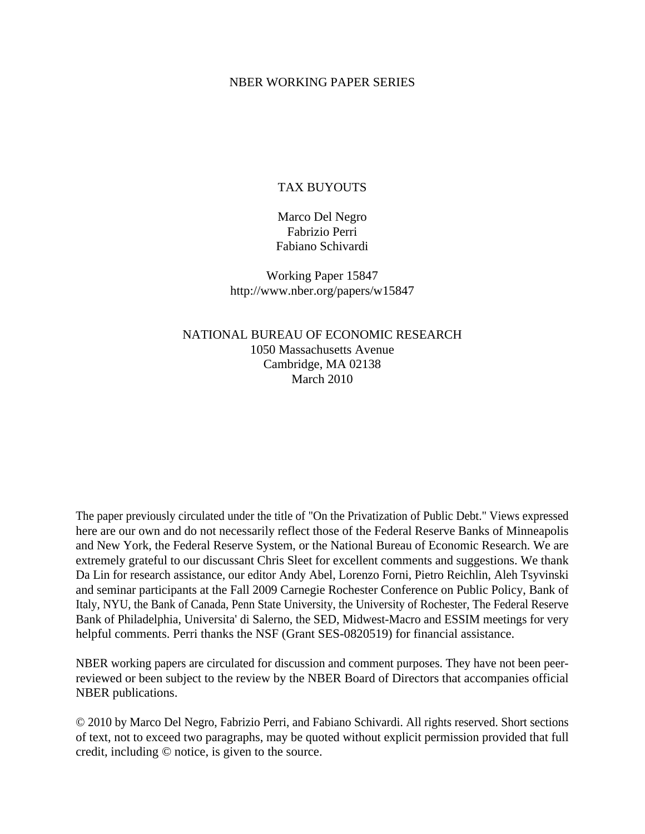## NBER WORKING PAPER SERIES

## TAX BUYOUTS

Marco Del Negro Fabrizio Perri Fabiano Schivardi

Working Paper 15847 http://www.nber.org/papers/w15847

NATIONAL BUREAU OF ECONOMIC RESEARCH 1050 Massachusetts Avenue Cambridge, MA 02138 March 2010

The paper previously circulated under the title of "On the Privatization of Public Debt." Views expressed here are our own and do not necessarily reflect those of the Federal Reserve Banks of Minneapolis and New York, the Federal Reserve System, or the National Bureau of Economic Research. We are extremely grateful to our discussant Chris Sleet for excellent comments and suggestions. We thank Da Lin for research assistance, our editor Andy Abel, Lorenzo Forni, Pietro Reichlin, Aleh Tsyvinski and seminar participants at the Fall 2009 Carnegie Rochester Conference on Public Policy, Bank of Italy, NYU, the Bank of Canada, Penn State University, the University of Rochester, The Federal Reserve Bank of Philadelphia, Universita' di Salerno, the SED, Midwest-Macro and ESSIM meetings for very helpful comments. Perri thanks the NSF (Grant SES-0820519) for financial assistance.

NBER working papers are circulated for discussion and comment purposes. They have not been peerreviewed or been subject to the review by the NBER Board of Directors that accompanies official NBER publications.

© 2010 by Marco Del Negro, Fabrizio Perri, and Fabiano Schivardi. All rights reserved. Short sections of text, not to exceed two paragraphs, may be quoted without explicit permission provided that full credit, including © notice, is given to the source.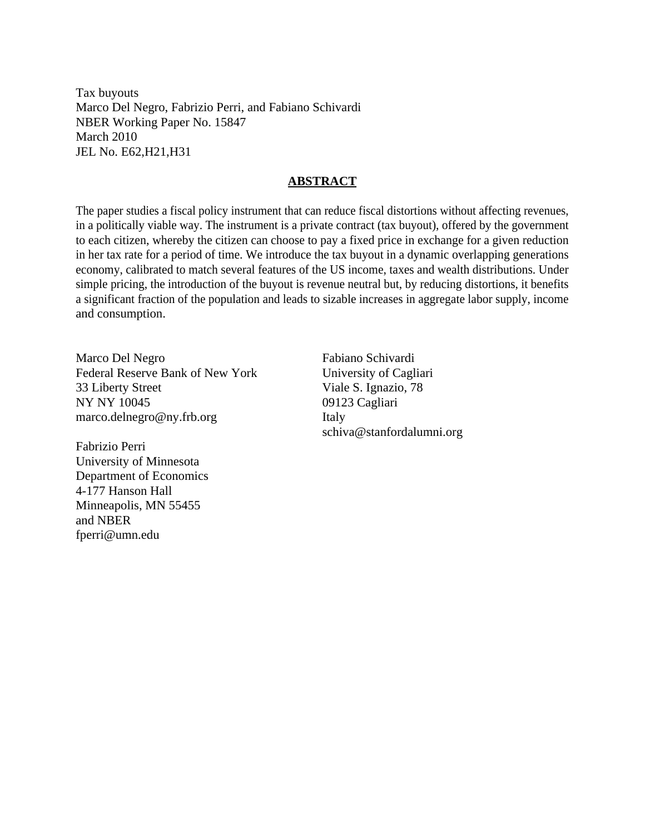Tax buyouts Marco Del Negro, Fabrizio Perri, and Fabiano Schivardi NBER Working Paper No. 15847 March 2010 JEL No. E62,H21,H31

## **ABSTRACT**

The paper studies a fiscal policy instrument that can reduce fiscal distortions without affecting revenues, in a politically viable way. The instrument is a private contract (tax buyout), offered by the government to each citizen, whereby the citizen can choose to pay a fixed price in exchange for a given reduction in her tax rate for a period of time. We introduce the tax buyout in a dynamic overlapping generations economy, calibrated to match several features of the US income, taxes and wealth distributions. Under simple pricing, the introduction of the buyout is revenue neutral but, by reducing distortions, it benefits a significant fraction of the population and leads to sizable increases in aggregate labor supply, income and consumption.

Marco Del Negro Federal Reserve Bank of New York 33 Liberty Street NY NY 10045 marco.delnegro@ny.frb.org

Fabrizio Perri University of Minnesota Department of Economics 4-177 Hanson Hall Minneapolis, MN 55455 and NBER fperri@umn.edu

Fabiano Schivardi University of Cagliari Viale S. Ignazio, 78 09123 Cagliari Italy schiva@stanfordalumni.org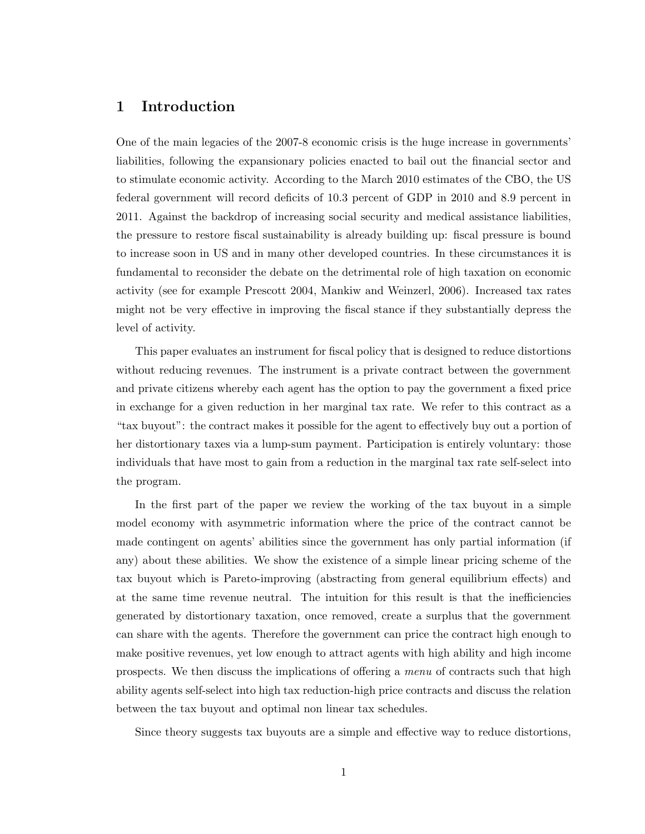## 1 Introduction

One of the main legacies of the 2007-8 economic crisis is the huge increase in governments' liabilities, following the expansionary policies enacted to bail out the financial sector and to stimulate economic activity. According to the March 2010 estimates of the CBO, the US federal government will record deficits of 10.3 percent of GDP in 2010 and 8.9 percent in 2011. Against the backdrop of increasing social security and medical assistance liabilities, the pressure to restore fiscal sustainability is already building up: fiscal pressure is bound to increase soon in US and in many other developed countries. In these circumstances it is fundamental to reconsider the debate on the detrimental role of high taxation on economic activity (see for example Prescott 2004, Mankiw and Weinzerl, 2006). Increased tax rates might not be very effective in improving the fiscal stance if they substantially depress the level of activity.

This paper evaluates an instrument for fiscal policy that is designed to reduce distortions without reducing revenues. The instrument is a private contract between the government and private citizens whereby each agent has the option to pay the government a fixed price in exchange for a given reduction in her marginal tax rate. We refer to this contract as a "tax buyout": the contract makes it possible for the agent to effectively buy out a portion of her distortionary taxes via a lump-sum payment. Participation is entirely voluntary: those individuals that have most to gain from a reduction in the marginal tax rate self-select into the program.

In the first part of the paper we review the working of the tax buyout in a simple model economy with asymmetric information where the price of the contract cannot be made contingent on agents' abilities since the government has only partial information (if any) about these abilities. We show the existence of a simple linear pricing scheme of the tax buyout which is Pareto-improving (abstracting from general equilibrium effects) and at the same time revenue neutral. The intuition for this result is that the inefficiencies generated by distortionary taxation, once removed, create a surplus that the government can share with the agents. Therefore the government can price the contract high enough to make positive revenues, yet low enough to attract agents with high ability and high income prospects. We then discuss the implications of offering a menu of contracts such that high ability agents self-select into high tax reduction-high price contracts and discuss the relation between the tax buyout and optimal non linear tax schedules.

Since theory suggests tax buyouts are a simple and effective way to reduce distortions,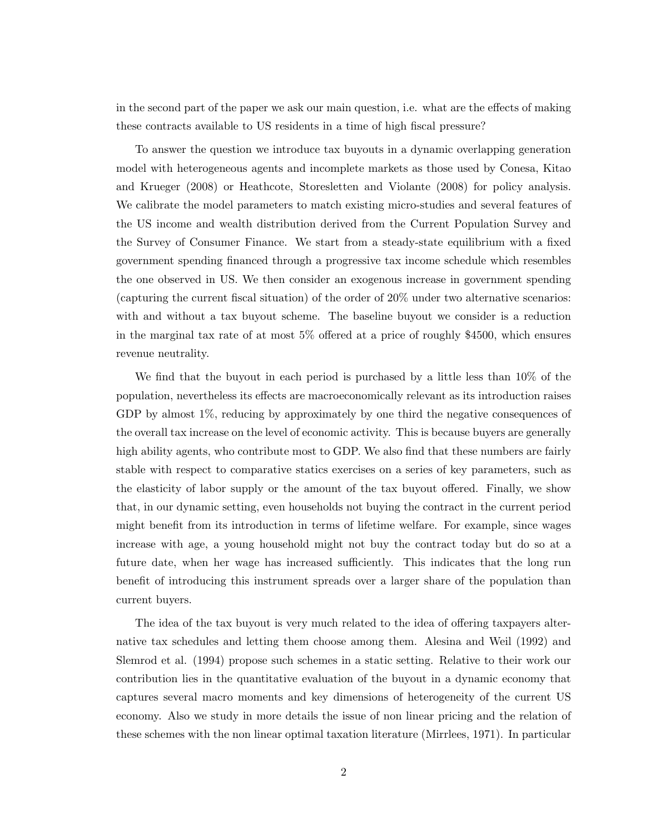in the second part of the paper we ask our main question, i.e. what are the effects of making these contracts available to US residents in a time of high fiscal pressure?

To answer the question we introduce tax buyouts in a dynamic overlapping generation model with heterogeneous agents and incomplete markets as those used by Conesa, Kitao and Krueger (2008) or Heathcote, Storesletten and Violante (2008) for policy analysis. We calibrate the model parameters to match existing micro-studies and several features of the US income and wealth distribution derived from the Current Population Survey and the Survey of Consumer Finance. We start from a steady-state equilibrium with a fixed government spending financed through a progressive tax income schedule which resembles the one observed in US. We then consider an exogenous increase in government spending (capturing the current fiscal situation) of the order of 20% under two alternative scenarios: with and without a tax buyout scheme. The baseline buyout we consider is a reduction in the marginal tax rate of at most 5% offered at a price of roughly \$4500, which ensures revenue neutrality.

We find that the buyout in each period is purchased by a little less than 10% of the population, nevertheless its effects are macroeconomically relevant as its introduction raises GDP by almost 1%, reducing by approximately by one third the negative consequences of the overall tax increase on the level of economic activity. This is because buyers are generally high ability agents, who contribute most to GDP. We also find that these numbers are fairly stable with respect to comparative statics exercises on a series of key parameters, such as the elasticity of labor supply or the amount of the tax buyout offered. Finally, we show that, in our dynamic setting, even households not buying the contract in the current period might benefit from its introduction in terms of lifetime welfare. For example, since wages increase with age, a young household might not buy the contract today but do so at a future date, when her wage has increased sufficiently. This indicates that the long run benefit of introducing this instrument spreads over a larger share of the population than current buyers.

The idea of the tax buyout is very much related to the idea of offering taxpayers alternative tax schedules and letting them choose among them. Alesina and Weil (1992) and Slemrod et al. (1994) propose such schemes in a static setting. Relative to their work our contribution lies in the quantitative evaluation of the buyout in a dynamic economy that captures several macro moments and key dimensions of heterogeneity of the current US economy. Also we study in more details the issue of non linear pricing and the relation of these schemes with the non linear optimal taxation literature (Mirrlees, 1971). In particular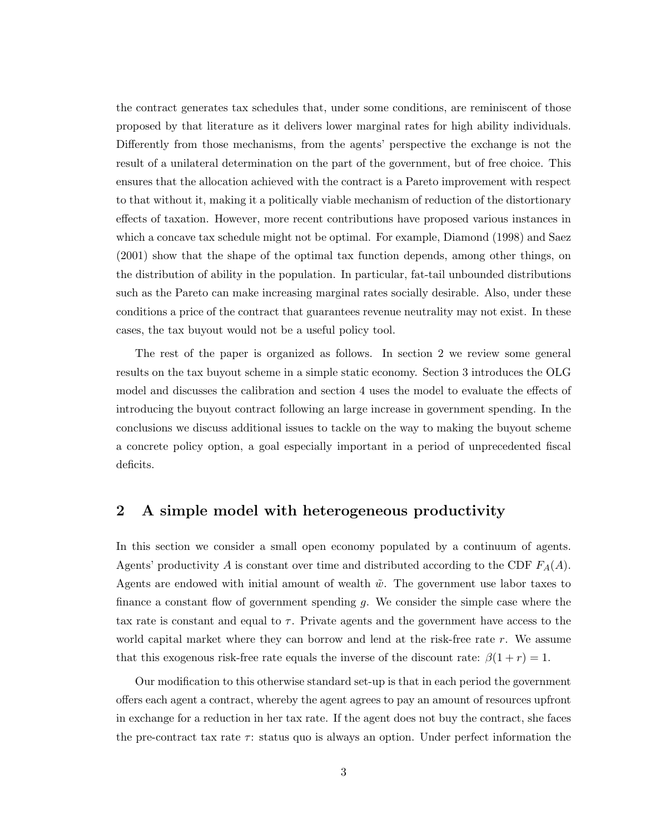the contract generates tax schedules that, under some conditions, are reminiscent of those proposed by that literature as it delivers lower marginal rates for high ability individuals. Differently from those mechanisms, from the agents' perspective the exchange is not the result of a unilateral determination on the part of the government, but of free choice. This ensures that the allocation achieved with the contract is a Pareto improvement with respect to that without it, making it a politically viable mechanism of reduction of the distortionary effects of taxation. However, more recent contributions have proposed various instances in which a concave tax schedule might not be optimal. For example, Diamond (1998) and Saez (2001) show that the shape of the optimal tax function depends, among other things, on the distribution of ability in the population. In particular, fat-tail unbounded distributions such as the Pareto can make increasing marginal rates socially desirable. Also, under these conditions a price of the contract that guarantees revenue neutrality may not exist. In these cases, the tax buyout would not be a useful policy tool.

The rest of the paper is organized as follows. In section 2 we review some general results on the tax buyout scheme in a simple static economy. Section 3 introduces the OLG model and discusses the calibration and section 4 uses the model to evaluate the effects of introducing the buyout contract following an large increase in government spending. In the conclusions we discuss additional issues to tackle on the way to making the buyout scheme a concrete policy option, a goal especially important in a period of unprecedented fiscal deficits.

# 2 A simple model with heterogeneous productivity

In this section we consider a small open economy populated by a continuum of agents. Agents' productivity A is constant over time and distributed according to the CDF  $F_A(A)$ . Agents are endowed with initial amount of wealth  $\tilde{w}$ . The government use labor taxes to finance a constant flow of government spending  $g$ . We consider the simple case where the tax rate is constant and equal to  $\tau$ . Private agents and the government have access to the world capital market where they can borrow and lend at the risk-free rate  $r$ . We assume that this exogenous risk-free rate equals the inverse of the discount rate:  $\beta(1+r) = 1$ .

Our modification to this otherwise standard set-up is that in each period the government offers each agent a contract, whereby the agent agrees to pay an amount of resources upfront in exchange for a reduction in her tax rate. If the agent does not buy the contract, she faces the pre-contract tax rate  $\tau$ : status quo is always an option. Under perfect information the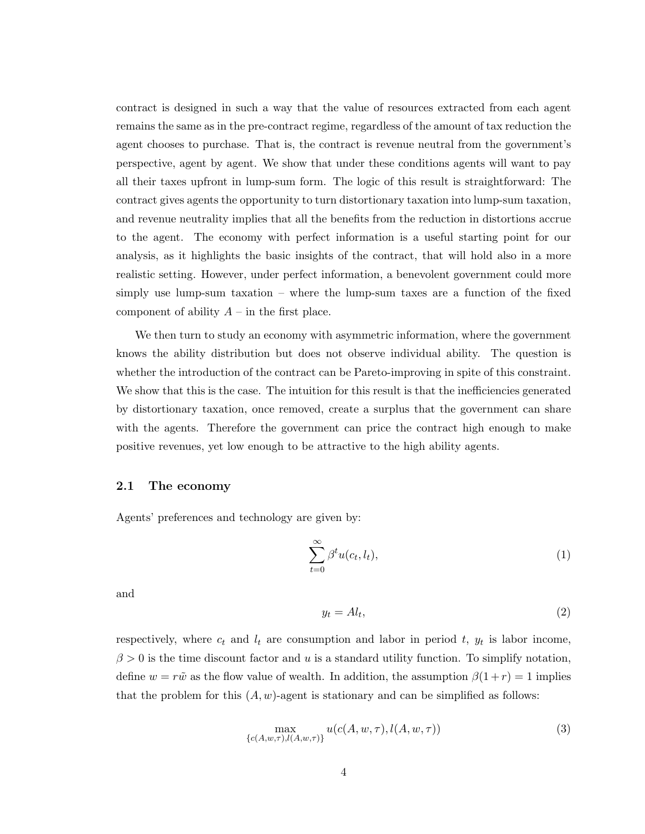contract is designed in such a way that the value of resources extracted from each agent remains the same as in the pre-contract regime, regardless of the amount of tax reduction the agent chooses to purchase. That is, the contract is revenue neutral from the government's perspective, agent by agent. We show that under these conditions agents will want to pay all their taxes upfront in lump-sum form. The logic of this result is straightforward: The contract gives agents the opportunity to turn distortionary taxation into lump-sum taxation, and revenue neutrality implies that all the benefits from the reduction in distortions accrue to the agent. The economy with perfect information is a useful starting point for our analysis, as it highlights the basic insights of the contract, that will hold also in a more realistic setting. However, under perfect information, a benevolent government could more simply use lump-sum taxation – where the lump-sum taxes are a function of the fixed component of ability  $A$  – in the first place.

We then turn to study an economy with asymmetric information, where the government knows the ability distribution but does not observe individual ability. The question is whether the introduction of the contract can be Pareto-improving in spite of this constraint. We show that this is the case. The intuition for this result is that the inefficiencies generated by distortionary taxation, once removed, create a surplus that the government can share with the agents. Therefore the government can price the contract high enough to make positive revenues, yet low enough to be attractive to the high ability agents.

#### 2.1 The economy

Agents' preferences and technology are given by:

$$
\sum_{t=0}^{\infty} \beta^t u(c_t, l_t), \tag{1}
$$

and

$$
y_t = A l_t,\tag{2}
$$

respectively, where  $c_t$  and  $l_t$  are consumption and labor in period t,  $y_t$  is labor income,  $\beta > 0$  is the time discount factor and u is a standard utility function. To simplify notation, define  $w = r\tilde{w}$  as the flow value of wealth. In addition, the assumption  $\beta(1+r) = 1$  implies that the problem for this  $(A, w)$ -agent is stationary and can be simplified as follows:

$$
\max_{\{c(A,w,\tau),l(A,w,\tau)\}} u(c(A,w,\tau),l(A,w,\tau))
$$
\n(3)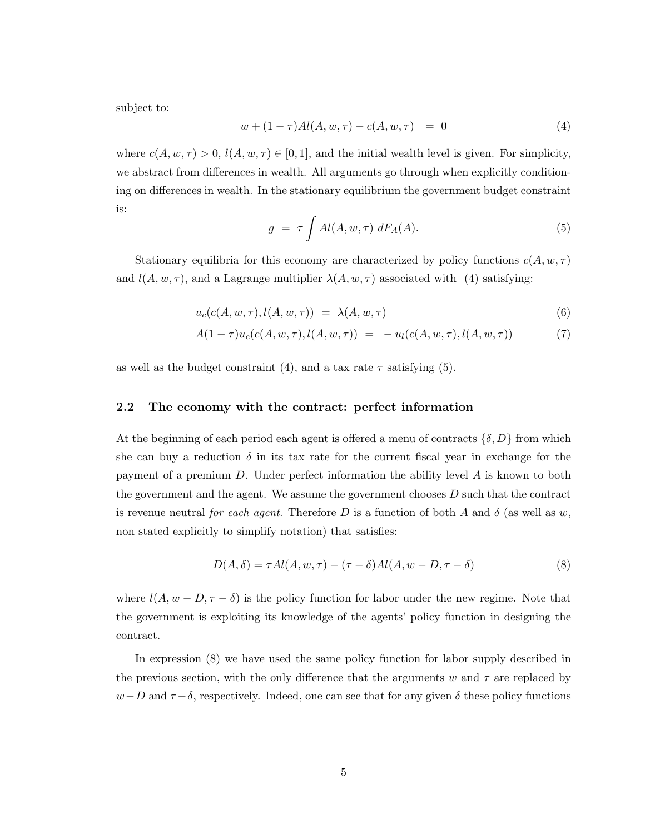subject to:

$$
w + (1 - \tau)Al(A, w, \tau) - c(A, w, \tau) = 0 \tag{4}
$$

where  $c(A, w, \tau) > 0$ ,  $l(A, w, \tau) \in [0, 1]$ , and the initial wealth level is given. For simplicity, we abstract from differences in wealth. All arguments go through when explicitly conditioning on differences in wealth. In the stationary equilibrium the government budget constraint is:

$$
g = \tau \int Al(A, w, \tau) dF_A(A). \tag{5}
$$

Stationary equilibria for this economy are characterized by policy functions  $c(A, w, \tau)$ and  $l(A, w, \tau)$ , and a Lagrange multiplier  $\lambda(A, w, \tau)$  associated with (4) satisfying:

$$
u_c(c(A, w, \tau), l(A, w, \tau)) = \lambda(A, w, \tau) \tag{6}
$$

$$
A(1-\tau)u_c(c(A, w, \tau), l(A, w, \tau)) = -u_l(c(A, w, \tau), l(A, w, \tau))
$$
\n(7)

as well as the budget constraint (4), and a tax rate  $\tau$  satisfying (5).

### 2.2 The economy with the contract: perfect information

At the beginning of each period each agent is offered a menu of contracts  $\{\delta, D\}$  from which she can buy a reduction  $\delta$  in its tax rate for the current fiscal year in exchange for the payment of a premium D. Under perfect information the ability level A is known to both the government and the agent. We assume the government chooses  $D$  such that the contract is revenue neutral for each agent. Therefore D is a function of both A and  $\delta$  (as well as w, non stated explicitly to simplify notation) that satisfies:

$$
D(A, \delta) = \tau A l(A, w, \tau) - (\tau - \delta) A l(A, w - D, \tau - \delta)
$$
\n(8)

where  $l(A, w - D, \tau - \delta)$  is the policy function for labor under the new regime. Note that the government is exploiting its knowledge of the agents' policy function in designing the contract.

In expression (8) we have used the same policy function for labor supply described in the previous section, with the only difference that the arguments w and  $\tau$  are replaced by  $w-D$  and  $\tau-\delta$ , respectively. Indeed, one can see that for any given  $\delta$  these policy functions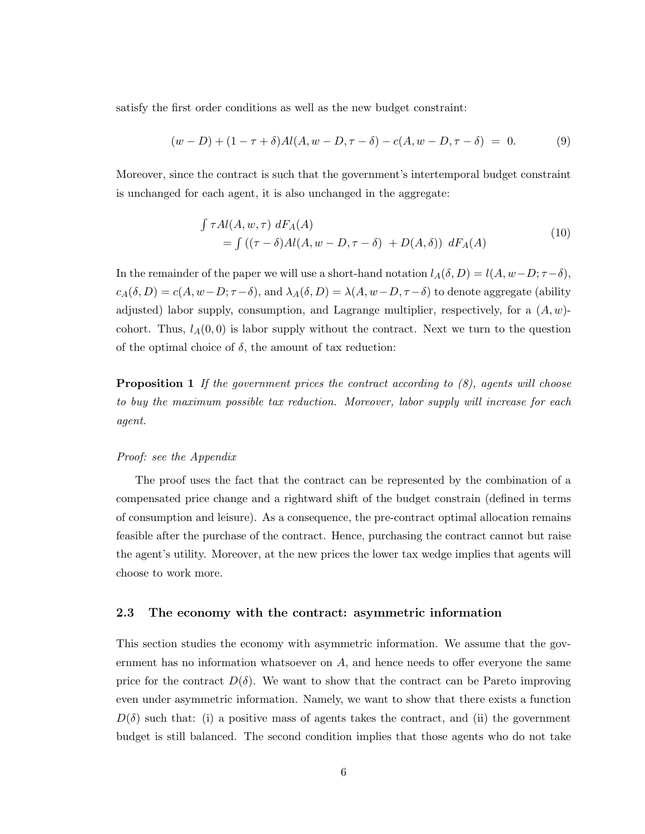satisfy the first order conditions as well as the new budget constraint:

$$
(w - D) + (1 - \tau + \delta)Al(A, w - D, \tau - \delta) - c(A, w - D, \tau - \delta) = 0.
$$
 (9)

Moreover, since the contract is such that the government's intertemporal budget constraint is unchanged for each agent, it is also unchanged in the aggregate:

$$
\int \tau Al(A, w, \tau) dF_A(A)
$$
  
=  $\int ((\tau - \delta)Al(A, w - D, \tau - \delta) + D(A, \delta)) dF_A(A)$  (10)

In the remainder of the paper we will use a short-hand notation  $l_A(\delta, D) = l(A, w-D; \tau-\delta)$ ,  $c_A(\delta, D) = c(A, w - D; \tau - \delta)$ , and  $\lambda_A(\delta, D) = \lambda(A, w - D, \tau - \delta)$  to denote aggregate (ability adjusted) labor supply, consumption, and Lagrange multiplier, respectively, for a  $(A, w)$ cohort. Thus,  $l_A(0,0)$  is labor supply without the contract. Next we turn to the question of the optimal choice of  $\delta$ , the amount of tax reduction:

**Proposition 1** If the government prices the contract according to  $(8)$ , agents will choose to buy the maximum possible tax reduction. Moreover, labor supply will increase for each agent.

### Proof: see the Appendix

The proof uses the fact that the contract can be represented by the combination of a compensated price change and a rightward shift of the budget constrain (defined in terms of consumption and leisure). As a consequence, the pre-contract optimal allocation remains feasible after the purchase of the contract. Hence, purchasing the contract cannot but raise the agent's utility. Moreover, at the new prices the lower tax wedge implies that agents will choose to work more.

#### 2.3 The economy with the contract: asymmetric information

This section studies the economy with asymmetric information. We assume that the government has no information whatsoever on  $A$ , and hence needs to offer everyone the same price for the contract  $D(\delta)$ . We want to show that the contract can be Pareto improving even under asymmetric information. Namely, we want to show that there exists a function  $D(\delta)$  such that: (i) a positive mass of agents takes the contract, and (ii) the government budget is still balanced. The second condition implies that those agents who do not take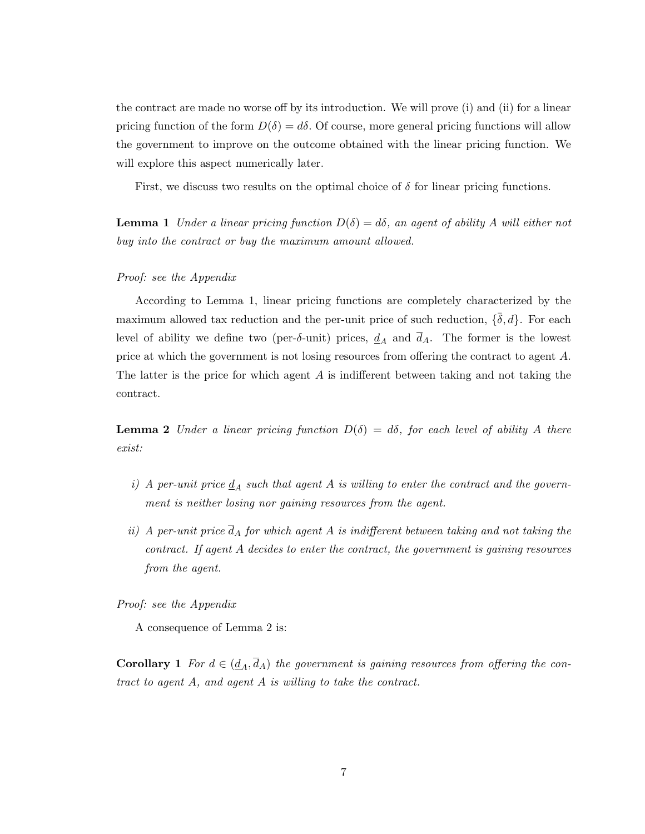the contract are made no worse off by its introduction. We will prove (i) and (ii) for a linear pricing function of the form  $D(\delta) = d\delta$ . Of course, more general pricing functions will allow the government to improve on the outcome obtained with the linear pricing function. We will explore this aspect numerically later.

First, we discuss two results on the optimal choice of  $\delta$  for linear pricing functions.

**Lemma 1** Under a linear pricing function  $D(\delta) = d\delta$ , an agent of ability A will either not buy into the contract or buy the maximum amount allowed.

### Proof: see the Appendix

According to Lemma 1, linear pricing functions are completely characterized by the maximum allowed tax reduction and the per-unit price of such reduction,  $\{\bar{\delta}, d\}$ . For each level of ability we define two (per- $\delta$ -unit) prices,  $\underline{d}_A$  and  $\overline{d}_A$ . The former is the lowest price at which the government is not losing resources from offering the contract to agent A. The latter is the price for which agent  $A$  is indifferent between taking and not taking the contract.

**Lemma 2** Under a linear pricing function  $D(\delta) = d\delta$ , for each level of ability A there exist:

- i) A per-unit price  $\underline{d}_A$  such that agent A is willing to enter the contract and the government is neither losing nor gaining resources from the agent.
- ii) A per-unit price  $d_A$  for which agent A is indifferent between taking and not taking the  $contract.$  If agent A decides to enter the contract, the government is gaining resources from the agent.

Proof: see the Appendix

A consequence of Lemma 2 is:

**Corollary 1** For  $d \in (\underline{d}_A, \overline{d}_A)$  the government is gaining resources from offering the contract to agent A, and agent A is willing to take the contract.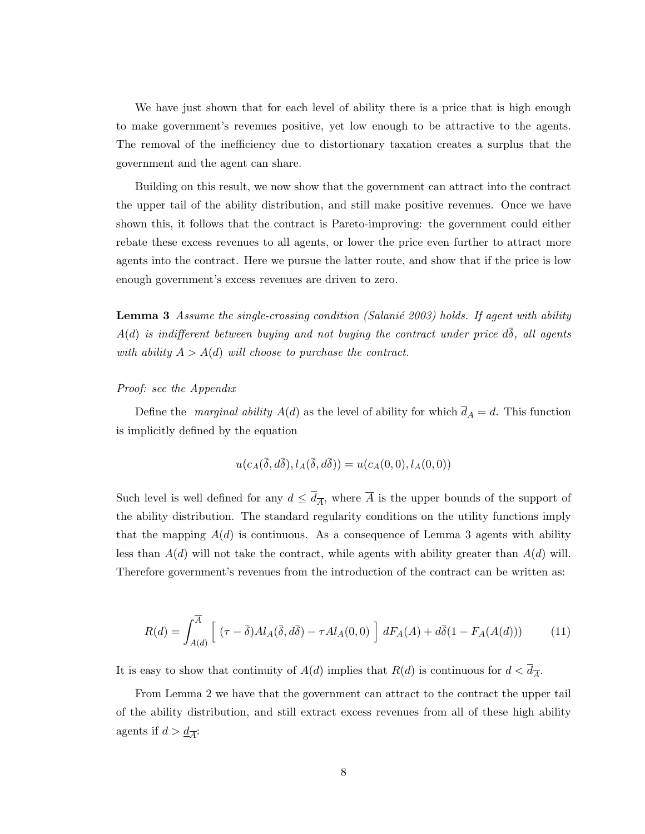We have just shown that for each level of ability there is a price that is high enough to make government's revenues positive, yet low enough to be attractive to the agents. The removal of the inefficiency due to distortionary taxation creates a surplus that the government and the agent can share.

Building on this result, we now show that the government can attract into the contract the upper tail of the ability distribution, and still make positive revenues. Once we have shown this, it follows that the contract is Pareto-improving: the government could either rebate these excess revenues to all agents, or lower the price even further to attract more agents into the contract. Here we pursue the latter route, and show that if the price is low enough government's excess revenues are driven to zero.

**Lemma 3** Assume the single-crossing condition (Salanié 2003) holds. If agent with ability  $A(d)$  is indifferent between buying and not buying the contract under price  $d\bar{\delta}$ , all agents with ability  $A > A(d)$  will choose to purchase the contract.

### Proof: see the Appendix

Define the *marginal ability*  $A(d)$  as the level of ability for which  $\overline{d}_A = d$ . This function is implicitly defined by the equation

$$
u(c_A(\bar{\delta},d\bar{\delta}),l_A(\bar{\delta},d\bar{\delta}))=u(c_A(0,0),l_A(0,0))
$$

Such level is well defined for any  $d \leq \overline{d}_{\overline{A}}$ , where  $\overline{A}$  is the upper bounds of the support of the ability distribution. The standard regularity conditions on the utility functions imply that the mapping  $A(d)$  is continuous. As a consequence of Lemma 3 agents with ability less than  $A(d)$  will not take the contract, while agents with ability greater than  $A(d)$  will. Therefore government's revenues from the introduction of the contract can be written as:

$$
R(d) = \int_{A(d)}^{\overline{A}} \left[ (\tau - \overline{\delta}) A l_A(\overline{\delta}, d\overline{\delta}) - \tau A l_A(0, 0) \right] dF_A(A) + d\overline{\delta}(1 - F_A(A(d))) \tag{11}
$$

It is easy to show that continuity of  $A(d)$  implies that  $R(d)$  is continuous for  $d < d_{\overline{A}}$ .

From Lemma 2 we have that the government can attract to the contract the upper tail of the ability distribution, and still extract excess revenues from all of these high ability agents if  $d > \underline{d}_{\overline{A}}$ :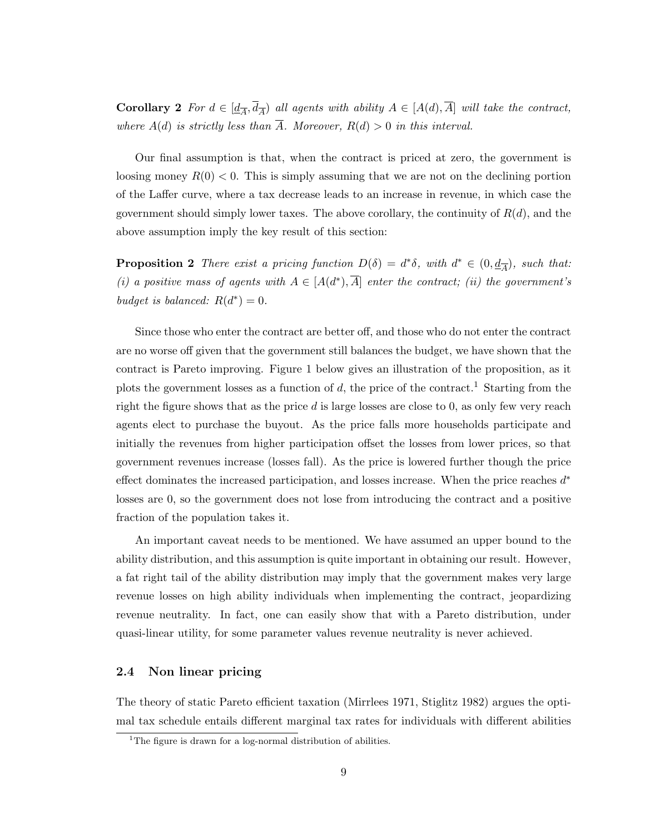**Corollary 2** For  $d \in [\underline{d}_{\overline{A}}, d_{\overline{A}})$  all agents with ability  $A \in [A(d), \overline{A}]$  will take the contract, where  $A(d)$  is strictly less than  $\overline{A}$ . Moreover,  $R(d) > 0$  in this interval.

Our final assumption is that, when the contract is priced at zero, the government is loosing money  $R(0) < 0$ . This is simply assuming that we are not on the declining portion of the Laffer curve, where a tax decrease leads to an increase in revenue, in which case the government should simply lower taxes. The above corollary, the continuity of  $R(d)$ , and the above assumption imply the key result of this section:

**Proposition 2** There exist a pricing function  $D(\delta) = d^*\delta$ , with  $d^* \in (0, \underline{d}_{\overline{A}})$ , such that: (i) a positive mass of agents with  $A \in [A(d^*), \overline{A}]$  enter the contract; (ii) the government's budget is balanced:  $R(d^*) = 0$ .

Since those who enter the contract are better off, and those who do not enter the contract are no worse off given that the government still balances the budget, we have shown that the contract is Pareto improving. Figure 1 below gives an illustration of the proposition, as it plots the government losses as a function of  $d$ , the price of the contract.<sup>1</sup> Starting from the right the figure shows that as the price  $d$  is large losses are close to 0, as only few very reach agents elect to purchase the buyout. As the price falls more households participate and initially the revenues from higher participation offset the losses from lower prices, so that government revenues increase (losses fall). As the price is lowered further though the price effect dominates the increased participation, and losses increase. When the price reaches  $d^*$ losses are 0, so the government does not lose from introducing the contract and a positive fraction of the population takes it.

An important caveat needs to be mentioned. We have assumed an upper bound to the ability distribution, and this assumption is quite important in obtaining our result. However, a fat right tail of the ability distribution may imply that the government makes very large revenue losses on high ability individuals when implementing the contract, jeopardizing revenue neutrality. In fact, one can easily show that with a Pareto distribution, under quasi-linear utility, for some parameter values revenue neutrality is never achieved.

### 2.4 Non linear pricing

The theory of static Pareto efficient taxation (Mirrlees 1971, Stiglitz 1982) argues the optimal tax schedule entails different marginal tax rates for individuals with different abilities

<sup>&</sup>lt;sup>1</sup>The figure is drawn for a log-normal distribution of abilities.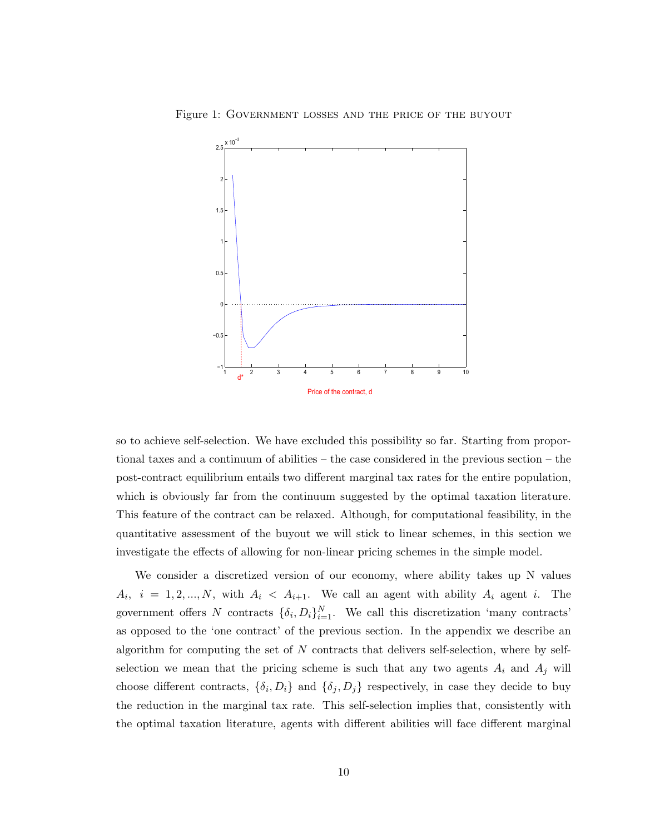

Figure 1: GOVERNMENT LOSSES AND THE PRICE OF THE BUYOUT

so to achieve self-selection. We have excluded this possibility so far. Starting from proportional taxes and a continuum of abilities – the case considered in the previous section – the post-contract equilibrium entails two different marginal tax rates for the entire population, which is obviously far from the continuum suggested by the optimal taxation literature. This feature of the contract can be relaxed. Although, for computational feasibility, in the quantitative assessment of the buyout we will stick to linear schemes, in this section we investigate the effects of allowing for non-linear pricing schemes in the simple model.

We consider a discretized version of our economy, where ability takes up N values  $A_i, i = 1, 2, ..., N$ , with  $A_i < A_{i+1}$ . We call an agent with ability  $A_i$  agent i. The government offers N contracts  $\{\delta_i, D_i\}_{i=1}^N$ . We call this discretization 'many contracts' as opposed to the 'one contract' of the previous section. In the appendix we describe an algorithm for computing the set of  $N$  contracts that delivers self-selection, where by selfselection we mean that the pricing scheme is such that any two agents  $A_i$  and  $A_j$  will choose different contracts,  $\{\delta_i, D_i\}$  and  $\{\delta_j, D_j\}$  respectively, in case they decide to buy the reduction in the marginal tax rate. This self-selection implies that, consistently with the optimal taxation literature, agents with different abilities will face different marginal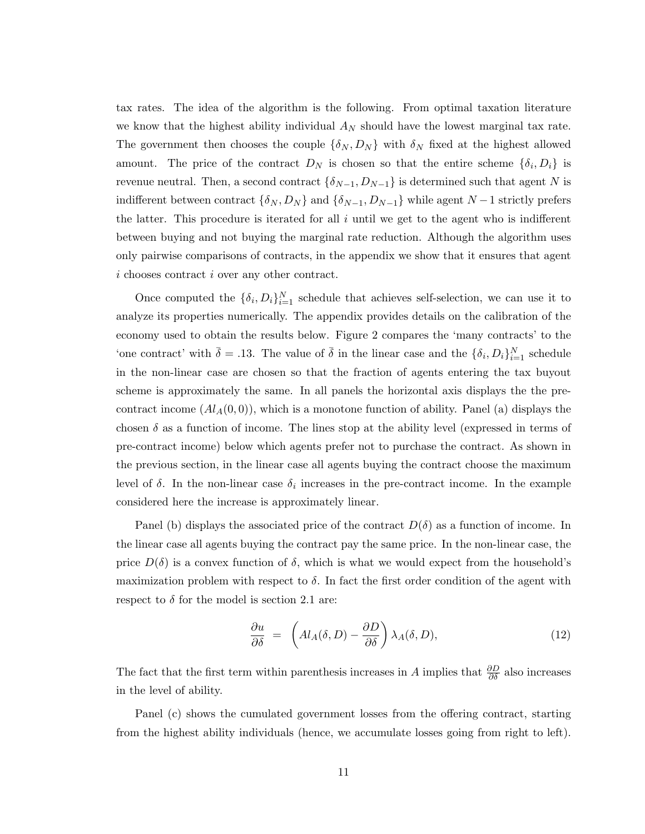tax rates. The idea of the algorithm is the following. From optimal taxation literature we know that the highest ability individual  $A_N$  should have the lowest marginal tax rate. The government then chooses the couple  $\{\delta_N, D_N\}$  with  $\delta_N$  fixed at the highest allowed amount. The price of the contract  $D_N$  is chosen so that the entire scheme  $\{\delta_i, D_i\}$  is revenue neutral. Then, a second contract  $\{\delta_{N-1}, D_{N-1}\}$  is determined such that agent N is indifferent between contract  $\{\delta_N, D_N\}$  and  $\{\delta_{N-1}, D_{N-1}\}$  while agent  $N-1$  strictly prefers the latter. This procedure is iterated for all  $i$  until we get to the agent who is indifferent between buying and not buying the marginal rate reduction. Although the algorithm uses only pairwise comparisons of contracts, in the appendix we show that it ensures that agent i chooses contract i over any other contract.

Once computed the  $\{\delta_i, D_i\}_{i=1}^N$  schedule that achieves self-selection, we can use it to analyze its properties numerically. The appendix provides details on the calibration of the economy used to obtain the results below. Figure 2 compares the 'many contracts' to the 'one contract' with  $\bar{\delta} = .13$ . The value of  $\bar{\delta}$  in the linear case and the  $\{\delta_i, D_i\}_{i=1}^N$  schedule in the non-linear case are chosen so that the fraction of agents entering the tax buyout scheme is approximately the same. In all panels the horizontal axis displays the the precontract income  $(Al<sub>A</sub>(0,0))$ , which is a monotone function of ability. Panel (a) displays the chosen  $\delta$  as a function of income. The lines stop at the ability level (expressed in terms of pre-contract income) below which agents prefer not to purchase the contract. As shown in the previous section, in the linear case all agents buying the contract choose the maximum level of  $\delta$ . In the non-linear case  $\delta_i$  increases in the pre-contract income. In the example considered here the increase is approximately linear.

Panel (b) displays the associated price of the contract  $D(\delta)$  as a function of income. In the linear case all agents buying the contract pay the same price. In the non-linear case, the price  $D(\delta)$  is a convex function of  $\delta$ , which is what we would expect from the household's maximization problem with respect to  $\delta$ . In fact the first order condition of the agent with respect to  $\delta$  for the model is section 2.1 are:

$$
\frac{\partial u}{\partial \delta} = \left( Al_A(\delta, D) - \frac{\partial D}{\partial \delta} \right) \lambda_A(\delta, D), \tag{12}
$$

The fact that the first term within parenthesis increases in A implies that  $\frac{\partial D}{\partial \delta}$  also increases in the level of ability.

Panel (c) shows the cumulated government losses from the offering contract, starting from the highest ability individuals (hence, we accumulate losses going from right to left).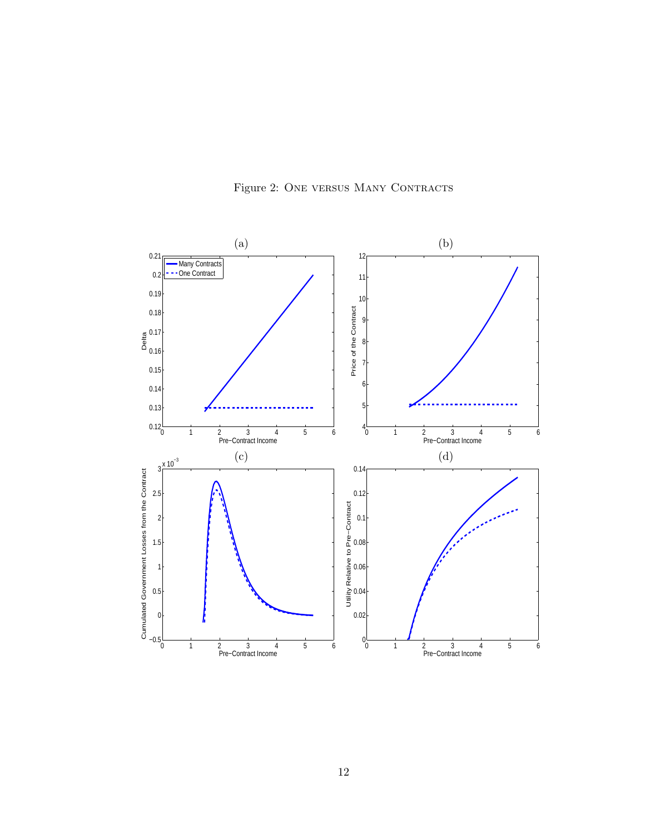

Figure 2: ONE VERSUS MANY CONTRACTS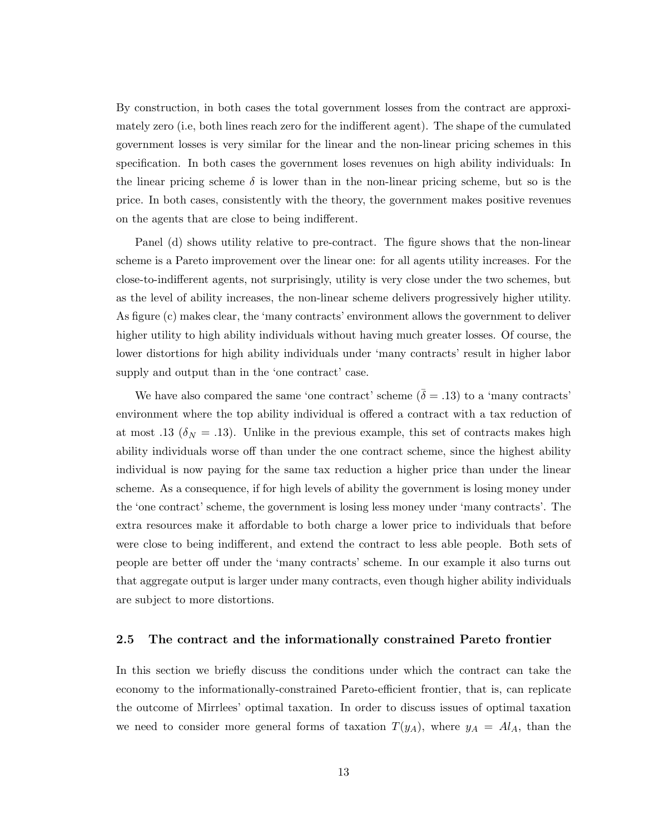By construction, in both cases the total government losses from the contract are approximately zero (i.e, both lines reach zero for the indifferent agent). The shape of the cumulated government losses is very similar for the linear and the non-linear pricing schemes in this specification. In both cases the government loses revenues on high ability individuals: In the linear pricing scheme  $\delta$  is lower than in the non-linear pricing scheme, but so is the price. In both cases, consistently with the theory, the government makes positive revenues on the agents that are close to being indifferent.

Panel (d) shows utility relative to pre-contract. The figure shows that the non-linear scheme is a Pareto improvement over the linear one: for all agents utility increases. For the close-to-indifferent agents, not surprisingly, utility is very close under the two schemes, but as the level of ability increases, the non-linear scheme delivers progressively higher utility. As figure (c) makes clear, the 'many contracts' environment allows the government to deliver higher utility to high ability individuals without having much greater losses. Of course, the lower distortions for high ability individuals under 'many contracts' result in higher labor supply and output than in the 'one contract' case.

We have also compared the same 'one contract' scheme ( $\overline{\delta} = .13$ ) to a 'many contracts' environment where the top ability individual is offered a contract with a tax reduction of at most .13 ( $\delta_N = .13$ ). Unlike in the previous example, this set of contracts makes high ability individuals worse off than under the one contract scheme, since the highest ability individual is now paying for the same tax reduction a higher price than under the linear scheme. As a consequence, if for high levels of ability the government is losing money under the 'one contract' scheme, the government is losing less money under 'many contracts'. The extra resources make it affordable to both charge a lower price to individuals that before were close to being indifferent, and extend the contract to less able people. Both sets of people are better off under the 'many contracts' scheme. In our example it also turns out that aggregate output is larger under many contracts, even though higher ability individuals are subject to more distortions.

## 2.5 The contract and the informationally constrained Pareto frontier

In this section we briefly discuss the conditions under which the contract can take the economy to the informationally-constrained Pareto-efficient frontier, that is, can replicate the outcome of Mirrlees' optimal taxation. In order to discuss issues of optimal taxation we need to consider more general forms of taxation  $T(y_A)$ , where  $y_A = A l_A$ , than the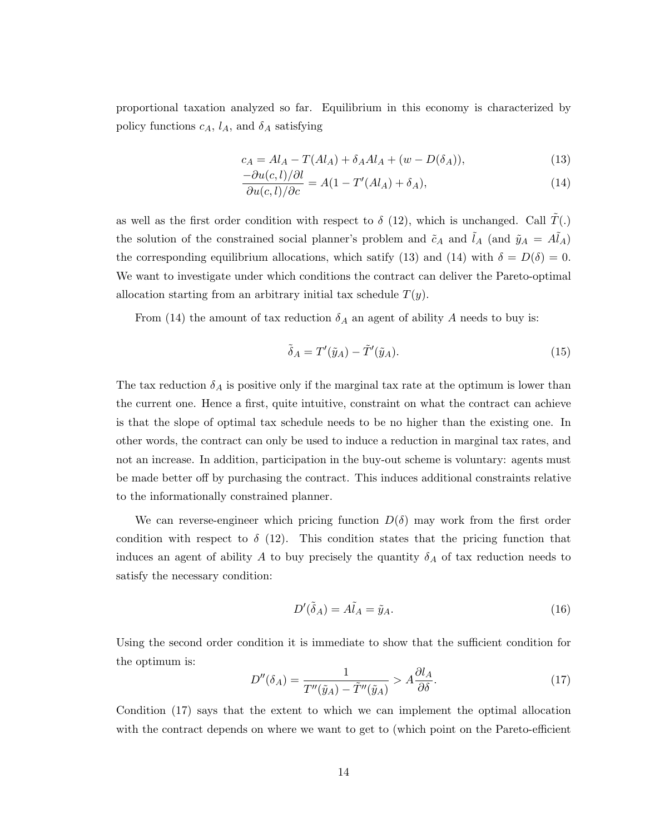proportional taxation analyzed so far. Equilibrium in this economy is characterized by policy functions  $c_A$ ,  $l_A$ , and  $\delta_A$  satisfying

$$
c_A = Al_A - T(Al_A) + \delta_A Al_A + (w - D(\delta_A)),\tag{13}
$$

$$
\frac{-\partial u(c,l)/\partial l}{\partial u(c,l)/\partial c} = A(1 - T'(Al_A) + \delta_A),\tag{14}
$$

as well as the first order condition with respect to  $\delta$  (12), which is unchanged. Call  $\tilde{T}(.)$ the solution of the constrained social planner's problem and  $\tilde{c}_A$  and  $\tilde{l}_A$  (and  $\tilde{y}_A = A\tilde{l}_A$ ) the corresponding equilibrium allocations, which satify (13) and (14) with  $\delta = D(\delta) = 0$ . We want to investigate under which conditions the contract can deliver the Pareto-optimal allocation starting from an arbitrary initial tax schedule  $T(y)$ .

From (14) the amount of tax reduction  $\delta_A$  an agent of ability A needs to buy is:

$$
\tilde{\delta}_A = T'(\tilde{y}_A) - \tilde{T}'(\tilde{y}_A). \tag{15}
$$

The tax reduction  $\delta_A$  is positive only if the marginal tax rate at the optimum is lower than the current one. Hence a first, quite intuitive, constraint on what the contract can achieve is that the slope of optimal tax schedule needs to be no higher than the existing one. In other words, the contract can only be used to induce a reduction in marginal tax rates, and not an increase. In addition, participation in the buy-out scheme is voluntary: agents must be made better off by purchasing the contract. This induces additional constraints relative to the informationally constrained planner.

We can reverse-engineer which pricing function  $D(\delta)$  may work from the first order condition with respect to  $\delta$  (12). This condition states that the pricing function that induces an agent of ability A to buy precisely the quantity  $\delta_A$  of tax reduction needs to satisfy the necessary condition:

$$
D'(\tilde{\delta}_A) = A\tilde{l}_A = \tilde{y}_A.
$$
\n(16)

Using the second order condition it is immediate to show that the sufficient condition for the optimum is:

$$
D''(\delta_A) = \frac{1}{T''(\tilde{y}_A) - \tilde{T}''(\tilde{y}_A)} > A \frac{\partial l_A}{\partial \delta}.
$$
 (17)

Condition (17) says that the extent to which we can implement the optimal allocation with the contract depends on where we want to get to (which point on the Pareto-efficient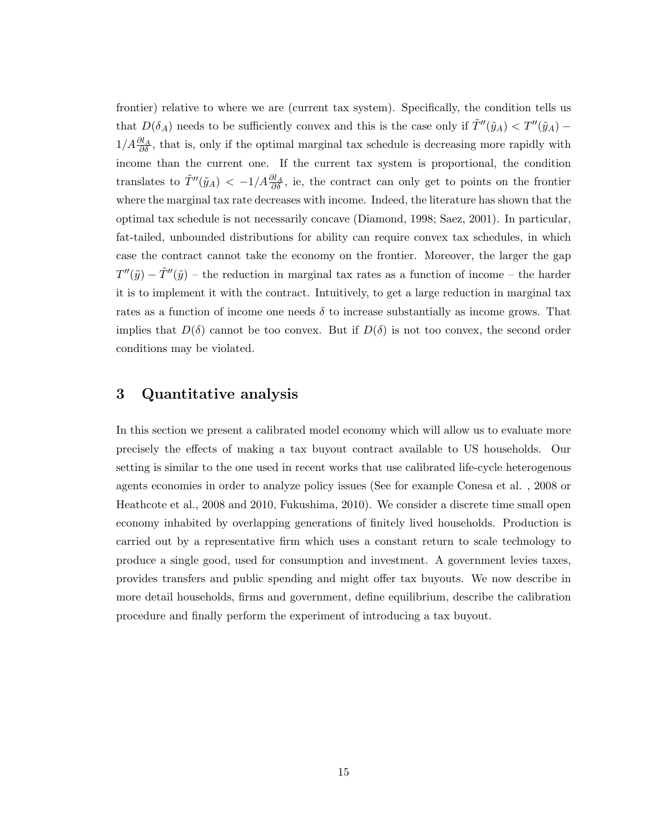frontier) relative to where we are (current tax system). Specifically, the condition tells us that  $D(\delta_A)$  needs to be sufficiently convex and this is the case only if  $\tilde{T}''(\tilde{y}_A) < T''(\tilde{y}_A)$  –  $1/A\frac{\partial l_A}{\partial \delta}$ , that is, only if the optimal marginal tax schedule is decreasing more rapidly with income than the current one. If the current tax system is proportional, the condition translates to  $\tilde{T}''(\tilde{y}_A) < -1/A \frac{\partial l_A}{\partial \delta}$ , ie, the contract can only get to points on the frontier where the marginal tax rate decreases with income. Indeed, the literature has shown that the optimal tax schedule is not necessarily concave (Diamond, 1998; Saez, 2001). In particular, fat-tailed, unbounded distributions for ability can require convex tax schedules, in which case the contract cannot take the economy on the frontier. Moreover, the larger the gap  $T''(\tilde{y}) - \tilde{T}''(\tilde{y})$  – the reduction in marginal tax rates as a function of income – the harder it is to implement it with the contract. Intuitively, to get a large reduction in marginal tax rates as a function of income one needs  $\delta$  to increase substantially as income grows. That implies that  $D(\delta)$  cannot be too convex. But if  $D(\delta)$  is not too convex, the second order conditions may be violated.

## 3 Quantitative analysis

In this section we present a calibrated model economy which will allow us to evaluate more precisely the effects of making a tax buyout contract available to US households. Our setting is similar to the one used in recent works that use calibrated life-cycle heterogenous agents economies in order to analyze policy issues (See for example Conesa et al. , 2008 or Heathcote et al., 2008 and 2010, Fukushima, 2010). We consider a discrete time small open economy inhabited by overlapping generations of finitely lived households. Production is carried out by a representative firm which uses a constant return to scale technology to produce a single good, used for consumption and investment. A government levies taxes, provides transfers and public spending and might offer tax buyouts. We now describe in more detail households, firms and government, define equilibrium, describe the calibration procedure and finally perform the experiment of introducing a tax buyout.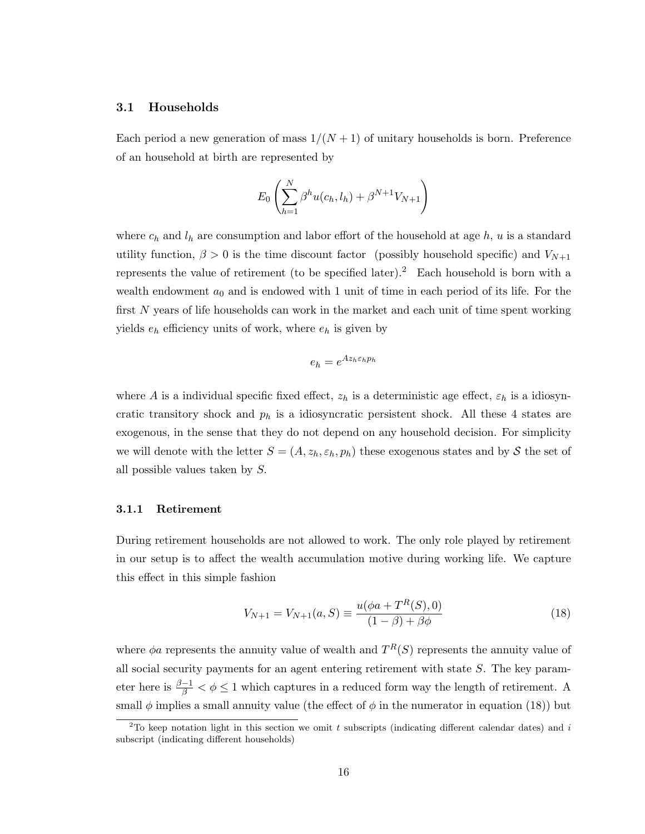#### 3.1 Households

Each period a new generation of mass  $1/(N+1)$  of unitary households is born. Preference of an household at birth are represented by

$$
E_0\left(\sum_{h=1}^N \beta^h u(c_h, l_h) + \beta^{N+1} V_{N+1}\right)
$$

where  $c_h$  and  $l_h$  are consumption and labor effort of the household at age h, u is a standard utility function,  $\beta > 0$  is the time discount factor (possibly household specific) and  $V_{N+1}$ represents the value of retirement (to be specified later).<sup>2</sup> Each household is born with a wealth endowment  $a_0$  and is endowed with 1 unit of time in each period of its life. For the first N years of life households can work in the market and each unit of time spent working yields  $e_h$  efficiency units of work, where  $e_h$  is given by

$$
e_h = e^{Az_h \varepsilon_h p_h}
$$

where A is a individual specific fixed effect,  $z_h$  is a deterministic age effect,  $\varepsilon_h$  is a idiosyncratic transitory shock and  $p_h$  is a idiosyncratic persistent shock. All these 4 states are exogenous, in the sense that they do not depend on any household decision. For simplicity we will denote with the letter  $S = (A, z_h, \varepsilon_h, p_h)$  these exogenous states and by S the set of all possible values taken by S.

#### 3.1.1 Retirement

During retirement households are not allowed to work. The only role played by retirement in our setup is to affect the wealth accumulation motive during working life. We capture this effect in this simple fashion

$$
V_{N+1} = V_{N+1}(a, S) \equiv \frac{u(\phi a + T^{R}(S), 0)}{(1 - \beta) + \beta \phi}
$$
\n(18)

where  $\phi a$  represents the annuity value of wealth and  $T^R(S)$  represents the annuity value of all social security payments for an agent entering retirement with state  $S$ . The key parameter here is  $\frac{\beta-1}{\beta} < \phi \leq 1$  which captures in a reduced form way the length of retirement. A small  $\phi$  implies a small annuity value (the effect of  $\phi$  in the numerator in equation (18)) but

<sup>&</sup>lt;sup>2</sup>To keep notation light in this section we omit t subscripts (indicating different calendar dates) and i subscript (indicating different households)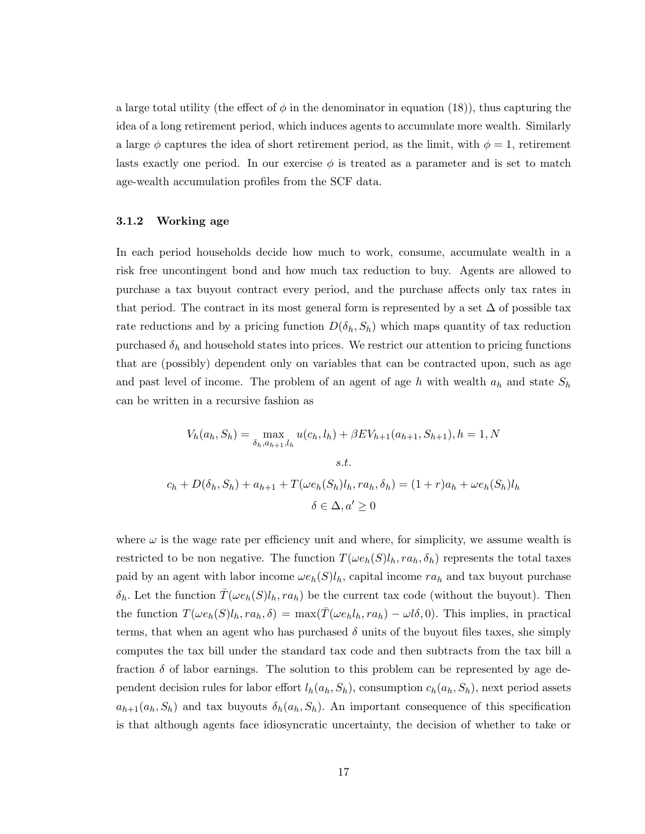a large total utility (the effect of  $\phi$  in the denominator in equation (18)), thus capturing the idea of a long retirement period, which induces agents to accumulate more wealth. Similarly a large  $\phi$  captures the idea of short retirement period, as the limit, with  $\phi = 1$ , retirement lasts exactly one period. In our exercise  $\phi$  is treated as a parameter and is set to match age-wealth accumulation profiles from the SCF data.

#### 3.1.2 Working age

In each period households decide how much to work, consume, accumulate wealth in a risk free uncontingent bond and how much tax reduction to buy. Agents are allowed to purchase a tax buyout contract every period, and the purchase affects only tax rates in that period. The contract in its most general form is represented by a set  $\Delta$  of possible tax rate reductions and by a pricing function  $D(\delta_h, S_h)$  which maps quantity of tax reduction purchased  $\delta_h$  and household states into prices. We restrict our attention to pricing functions that are (possibly) dependent only on variables that can be contracted upon, such as age and past level of income. The problem of an agent of age h with wealth  $a_h$  and state  $S_h$ can be written in a recursive fashion as

$$
V_h(a_h, S_h) = \max_{\delta_h, a_{h+1}, l_h} u(c_h, l_h) + \beta E V_{h+1}(a_{h+1}, S_{h+1}), h = 1, N
$$
  
s.t.  

$$
c_h + D(\delta_h, S_h) + a_{h+1} + T(\omega e_h(S_h)l_h, r a_h, \delta_h) = (1 + r)a_h + \omega e_h(S_h)l_h
$$
  

$$
\delta \in \Delta, a' \ge 0
$$

where  $\omega$  is the wage rate per efficiency unit and where, for simplicity, we assume wealth is restricted to be non negative. The function  $T(\omega e_h(S)l_h, ra_h, \delta_h)$  represents the total taxes paid by an agent with labor income  $\omega e_h(S)l_h$ , capital income  $ra_h$  and tax buyout purchase  $\delta_h$ . Let the function  $T(\omega e_h(S)l_h, ra_h)$  be the current tax code (without the buyout). Then the function  $T(\omega e_h(S)l_h, ra_h, \delta) = \max(\overline{T}(\omega e_hl_h, ra_h) - \omega l\delta, 0)$ . This implies, in practical terms, that when an agent who has purchased  $\delta$  units of the buyout files taxes, she simply computes the tax bill under the standard tax code and then subtracts from the tax bill a fraction  $\delta$  of labor earnings. The solution to this problem can be represented by age dependent decision rules for labor effort  $l_h(a_h, S_h)$ , consumption  $c_h(a_h, S_h)$ , next period assets  $a_{h+1}(a_h, S_h)$  and tax buyouts  $\delta_h(a_h, S_h)$ . An important consequence of this specification is that although agents face idiosyncratic uncertainty, the decision of whether to take or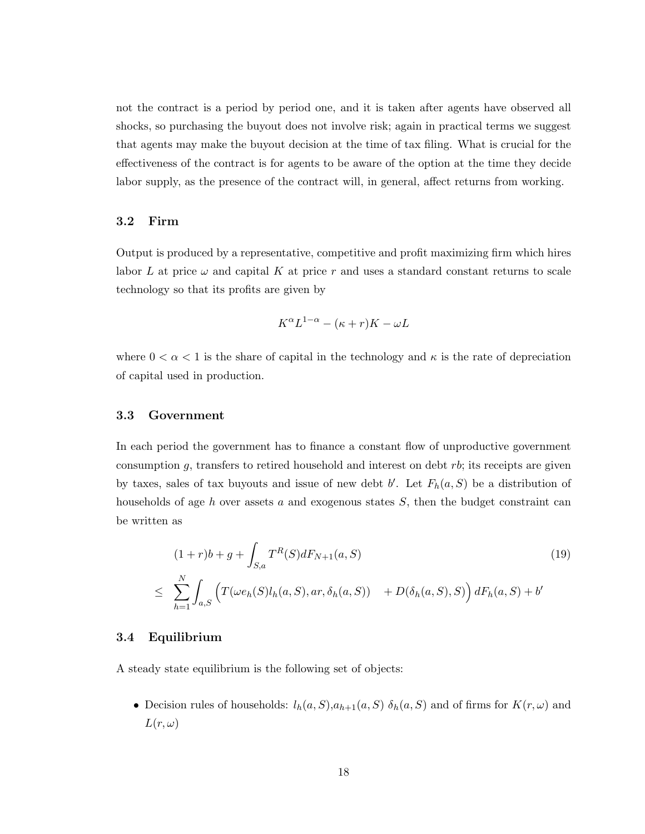not the contract is a period by period one, and it is taken after agents have observed all shocks, so purchasing the buyout does not involve risk; again in practical terms we suggest that agents may make the buyout decision at the time of tax filing. What is crucial for the effectiveness of the contract is for agents to be aware of the option at the time they decide labor supply, as the presence of the contract will, in general, affect returns from working.

### 3.2 Firm

Output is produced by a representative, competitive and profit maximizing firm which hires labor L at price  $\omega$  and capital K at price r and uses a standard constant returns to scale technology so that its profits are given by

$$
K^{\alpha}L^{1-\alpha} - (\kappa + r)K - \omega L
$$

where  $0 < \alpha < 1$  is the share of capital in the technology and  $\kappa$  is the rate of depreciation of capital used in production.

#### 3.3 Government

In each period the government has to finance a constant flow of unproductive government consumption g, transfers to retired household and interest on debt  $rb$ ; its receipts are given by taxes, sales of tax buyouts and issue of new debt b'. Let  $F_h(a, S)$  be a distribution of households of age h over assets a and exogenous states  $S$ , then the budget constraint can be written as

$$
(1+r)b + g + \int_{S,a} T^{R}(S)dF_{N+1}(a, S)
$$
\n
$$
\leq \sum_{h=1}^{N} \int_{a,S} \left( T(\omega e_{h}(S)l_{h}(a, S), ar, \delta_{h}(a, S)) + D(\delta_{h}(a, S), S) \right) dF_{h}(a, S) + b'
$$
\n(19)

## 3.4 Equilibrium

A steady state equilibrium is the following set of objects:

• Decision rules of households:  $l_h(a, S), a_{h+1}(a, S)$   $\delta_h(a, S)$  and of firms for  $K(r, \omega)$  and  $L(r, \omega)$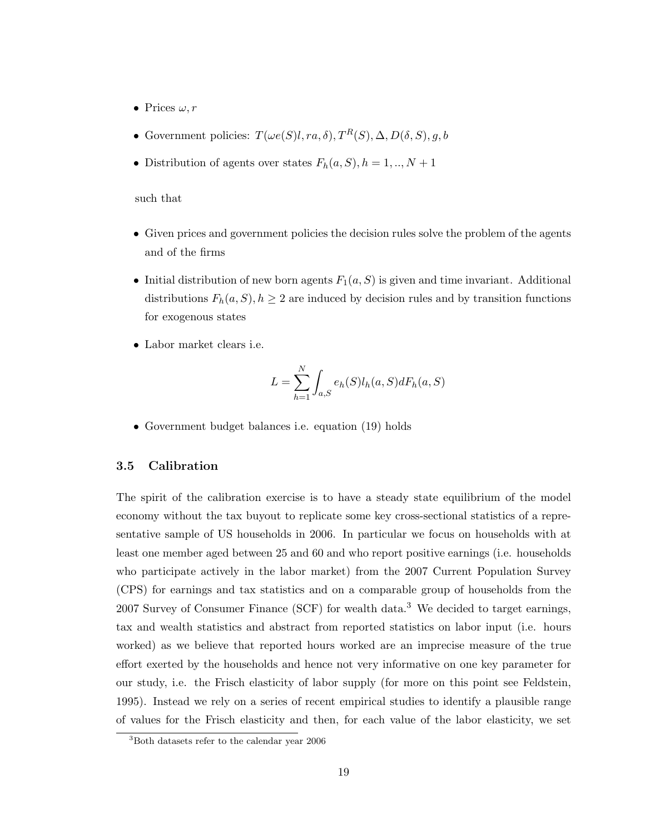- Prices  $\omega, r$
- Government policies:  $T(\omega e(S)l, ra, \delta), T^{R}(S), \Delta, D(\delta, S), g, b)$
- Distribution of agents over states  $F_h(a, S), h = 1, ..., N + 1$

such that

- Given prices and government policies the decision rules solve the problem of the agents and of the firms
- Initial distribution of new born agents  $F_1(a, S)$  is given and time invariant. Additional distributions  $F_h(a, S)$ ,  $h \geq 2$  are induced by decision rules and by transition functions for exogenous states
- Labor market clears i.e.

$$
L = \sum_{h=1}^{N} \int_{a,S} e_h(S) l_h(a, S) dF_h(a, S)
$$

• Government budget balances i.e. equation (19) holds

### 3.5 Calibration

The spirit of the calibration exercise is to have a steady state equilibrium of the model economy without the tax buyout to replicate some key cross-sectional statistics of a representative sample of US households in 2006. In particular we focus on households with at least one member aged between 25 and 60 and who report positive earnings (i.e. households who participate actively in the labor market) from the 2007 Current Population Survey (CPS) for earnings and tax statistics and on a comparable group of households from the 2007 Survey of Consumer Finance (SCF) for wealth data.<sup>3</sup> We decided to target earnings, tax and wealth statistics and abstract from reported statistics on labor input (i.e. hours worked) as we believe that reported hours worked are an imprecise measure of the true effort exerted by the households and hence not very informative on one key parameter for our study, i.e. the Frisch elasticity of labor supply (for more on this point see Feldstein, 1995). Instead we rely on a series of recent empirical studies to identify a plausible range of values for the Frisch elasticity and then, for each value of the labor elasticity, we set

<sup>3</sup>Both datasets refer to the calendar year 2006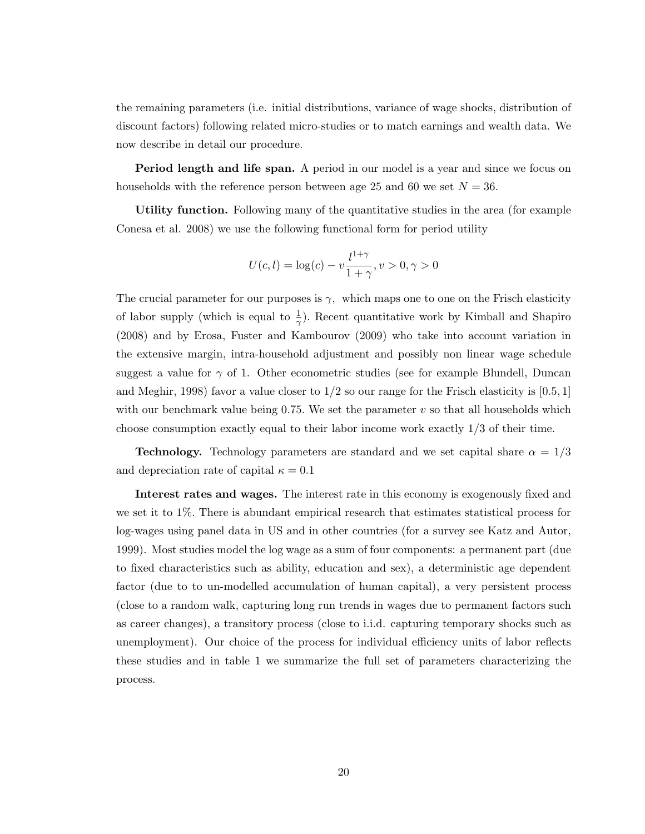the remaining parameters (i.e. initial distributions, variance of wage shocks, distribution of discount factors) following related micro-studies or to match earnings and wealth data. We now describe in detail our procedure.

**Period length and life span.** A period in our model is a year and since we focus on households with the reference person between age 25 and 60 we set  $N = 36$ .

Utility function. Following many of the quantitative studies in the area (for example Conesa et al. 2008) we use the following functional form for period utility

$$
U(c, l) = \log(c) - v \frac{l^{1+\gamma}}{1+\gamma}, v > 0, \gamma > 0
$$

The crucial parameter for our purposes is  $\gamma$ , which maps one to one on the Frisch elasticity of labor supply (which is equal to  $\frac{1}{\gamma}$ ). Recent quantitative work by Kimball and Shapiro (2008) and by Erosa, Fuster and Kambourov (2009) who take into account variation in the extensive margin, intra-household adjustment and possibly non linear wage schedule suggest a value for  $\gamma$  of 1. Other econometric studies (see for example Blundell, Duncan and Meghir, 1998) favor a value closer to  $1/2$  so our range for the Frisch elasticity is [0.5, 1] with our benchmark value being 0.75. We set the parameter  $v$  so that all households which choose consumption exactly equal to their labor income work exactly 1/3 of their time.

**Technology.** Technology parameters are standard and we set capital share  $\alpha = 1/3$ and depreciation rate of capital  $\kappa = 0.1$ 

Interest rates and wages. The interest rate in this economy is exogenously fixed and we set it to 1%. There is abundant empirical research that estimates statistical process for log-wages using panel data in US and in other countries (for a survey see Katz and Autor, 1999). Most studies model the log wage as a sum of four components: a permanent part (due to fixed characteristics such as ability, education and sex), a deterministic age dependent factor (due to to un-modelled accumulation of human capital), a very persistent process (close to a random walk, capturing long run trends in wages due to permanent factors such as career changes), a transitory process (close to i.i.d. capturing temporary shocks such as unemployment). Our choice of the process for individual efficiency units of labor reflects these studies and in table 1 we summarize the full set of parameters characterizing the process.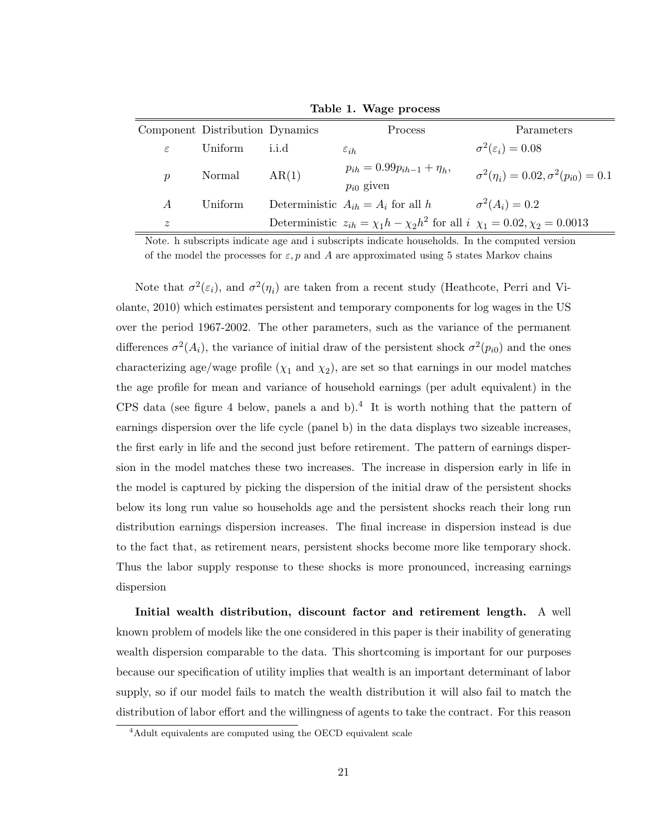|                | Component Distribution Dynamics |       | Process                                                                                   | Parameters                                        |
|----------------|---------------------------------|-------|-------------------------------------------------------------------------------------------|---------------------------------------------------|
| $\varepsilon$  | Uniform                         | i.i.d | $\varepsilon_{ih}$                                                                        | $\sigma^2(\varepsilon_i)=0.08$                    |
| $\mathfrak{p}$ | Normal                          | AR(1) | $p_{ih} = 0.99 p_{ih-1} + \eta_h,$<br>$p_{i0}$ given                                      | $\sigma^2(\eta_i) = 0.02, \sigma^2(p_{i0}) = 0.1$ |
| A              | Uniform                         |       | Deterministic $A_{ih} = A_i$ for all h                                                    | $\sigma^2(A_i) = 0.2$                             |
| $\tilde{z}$    |                                 |       | Deterministic $z_{ih} = \chi_1 h - \chi_2 h^2$ for all $i \chi_1 = 0.02, \chi_2 = 0.0013$ |                                                   |

Table 1. Wage process

Note. h subscripts indicate age and i subscripts indicate households. In the computed version of the model the processes for  $\varepsilon$ , p and A are approximated using 5 states Markov chains

Note that  $\sigma^2(\varepsilon_i)$ , and  $\sigma^2(\eta_i)$  are taken from a recent study (Heathcote, Perri and Violante, 2010) which estimates persistent and temporary components for log wages in the US over the period 1967-2002. The other parameters, such as the variance of the permanent differences  $\sigma^2(A_i)$ , the variance of initial draw of the persistent shock  $\sigma^2(p_{i0})$  and the ones characterizing age/wage profile  $(\chi_1$  and  $\chi_2)$ , are set so that earnings in our model matches the age profile for mean and variance of household earnings (per adult equivalent) in the CPS data (see figure 4 below, panels a and b).<sup>4</sup> It is worth nothing that the pattern of earnings dispersion over the life cycle (panel b) in the data displays two sizeable increases, the first early in life and the second just before retirement. The pattern of earnings dispersion in the model matches these two increases. The increase in dispersion early in life in the model is captured by picking the dispersion of the initial draw of the persistent shocks below its long run value so households age and the persistent shocks reach their long run distribution earnings dispersion increases. The final increase in dispersion instead is due to the fact that, as retirement nears, persistent shocks become more like temporary shock. Thus the labor supply response to these shocks is more pronounced, increasing earnings dispersion

Initial wealth distribution, discount factor and retirement length. A well known problem of models like the one considered in this paper is their inability of generating wealth dispersion comparable to the data. This shortcoming is important for our purposes because our specification of utility implies that wealth is an important determinant of labor supply, so if our model fails to match the wealth distribution it will also fail to match the distribution of labor effort and the willingness of agents to take the contract. For this reason

<sup>4</sup>Adult equivalents are computed using the OECD equivalent scale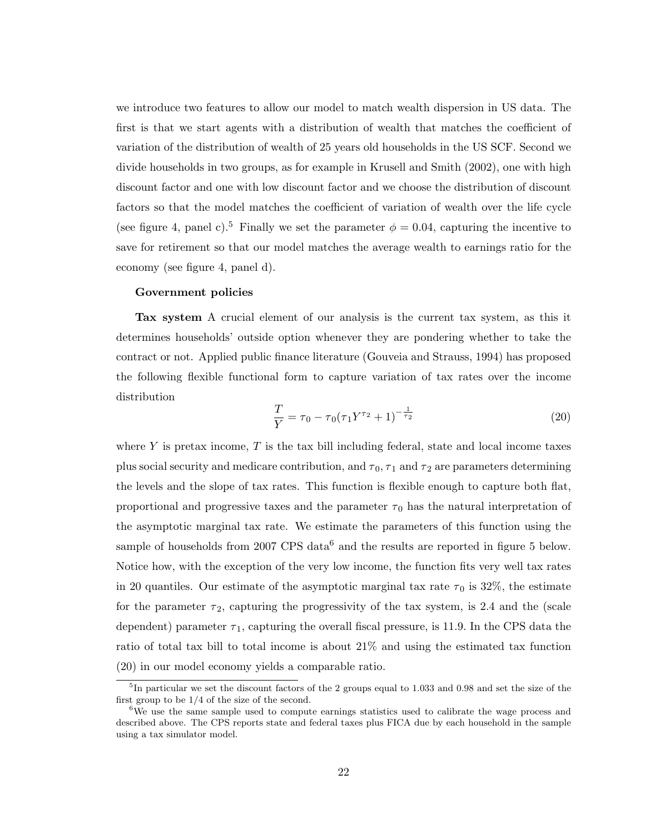we introduce two features to allow our model to match wealth dispersion in US data. The first is that we start agents with a distribution of wealth that matches the coefficient of variation of the distribution of wealth of 25 years old households in the US SCF. Second we divide households in two groups, as for example in Krusell and Smith (2002), one with high discount factor and one with low discount factor and we choose the distribution of discount factors so that the model matches the coefficient of variation of wealth over the life cycle (see figure 4, panel c).<sup>5</sup> Finally we set the parameter  $\phi = 0.04$ , capturing the incentive to save for retirement so that our model matches the average wealth to earnings ratio for the economy (see figure 4, panel d).

#### Government policies

Tax system A crucial element of our analysis is the current tax system, as this it determines households' outside option whenever they are pondering whether to take the contract or not. Applied public finance literature (Gouveia and Strauss, 1994) has proposed the following flexible functional form to capture variation of tax rates over the income distribution

$$
\frac{T}{Y} = \tau_0 - \tau_0 (\tau_1 Y^{\tau_2} + 1)^{-\frac{1}{\tau_2}} \tag{20}
$$

where Y is pretax income, T is the tax bill including federal, state and local income taxes plus social security and medicare contribution, and  $\tau_0$ ,  $\tau_1$  and  $\tau_2$  are parameters determining the levels and the slope of tax rates. This function is flexible enough to capture both flat, proportional and progressive taxes and the parameter  $\tau_0$  has the natural interpretation of the asymptotic marginal tax rate. We estimate the parameters of this function using the sample of households from  $2007$  CPS data<sup>6</sup> and the results are reported in figure 5 below. Notice how, with the exception of the very low income, the function fits very well tax rates in 20 quantiles. Our estimate of the asymptotic marginal tax rate  $\tau_0$  is 32%, the estimate for the parameter  $\tau_2$ , capturing the progressivity of the tax system, is 2.4 and the (scale dependent) parameter  $\tau_1$ , capturing the overall fiscal pressure, is 11.9. In the CPS data the ratio of total tax bill to total income is about 21% and using the estimated tax function (20) in our model economy yields a comparable ratio.

<sup>&</sup>lt;sup>5</sup>In particular we set the discount factors of the 2 groups equal to 1.033 and 0.98 and set the size of the first group to be 1/4 of the size of the second.

<sup>6</sup>We use the same sample used to compute earnings statistics used to calibrate the wage process and described above. The CPS reports state and federal taxes plus FICA due by each household in the sample using a tax simulator model.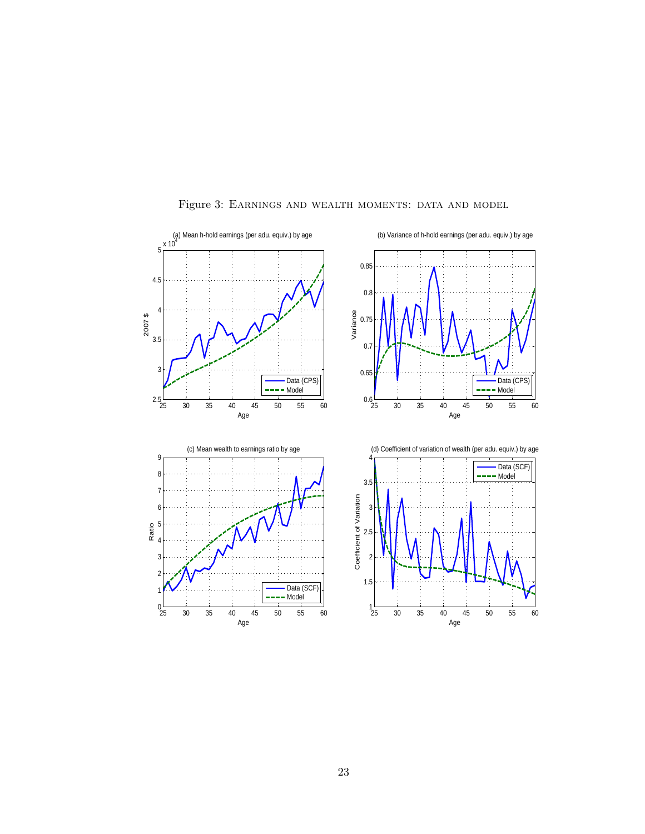

## Figure 3: Earnings and wealth moments: data and model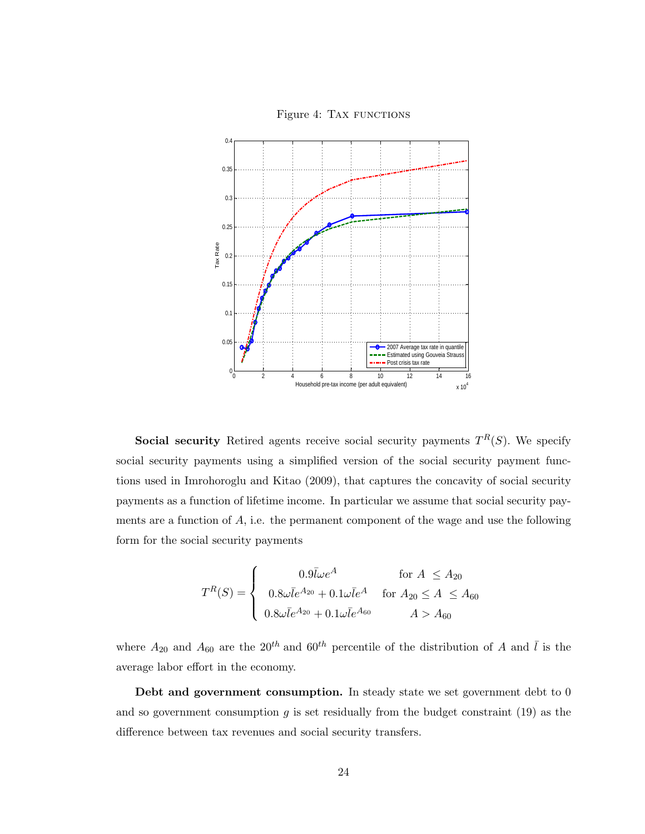

Figure 4: TAX FUNCTIONS

**Social security** Retired agents receive social security payments  $T<sup>R</sup>(S)$ . We specify social security payments using a simplified version of the social security payment functions used in Imrohoroglu and Kitao (2009), that captures the concavity of social security payments as a function of lifetime income. In particular we assume that social security payments are a function of  $A$ , i.e. the permanent component of the wage and use the following form for the social security payments

$$
T^{R}(S) = \begin{cases} 0.9\bar{l} \omega e^{A} & \text{for } A \leq A_{20} \\ 0.8\omega \bar{l} e^{A_{20}} + 0.1\omega \bar{l} e^{A} & \text{for } A_{20} \leq A \leq A_{60} \\ 0.8\omega \bar{l} e^{A_{20}} + 0.1\omega \bar{l} e^{A_{60}} & A > A_{60} \end{cases}
$$

where  $A_{20}$  and  $A_{60}$  are the  $20^{th}$  and  $60^{th}$  percentile of the distribution of A and  $\overline{l}$  is the average labor effort in the economy.

Debt and government consumption. In steady state we set government debt to 0 and so government consumption  $g$  is set residually from the budget constraint  $(19)$  as the difference between tax revenues and social security transfers.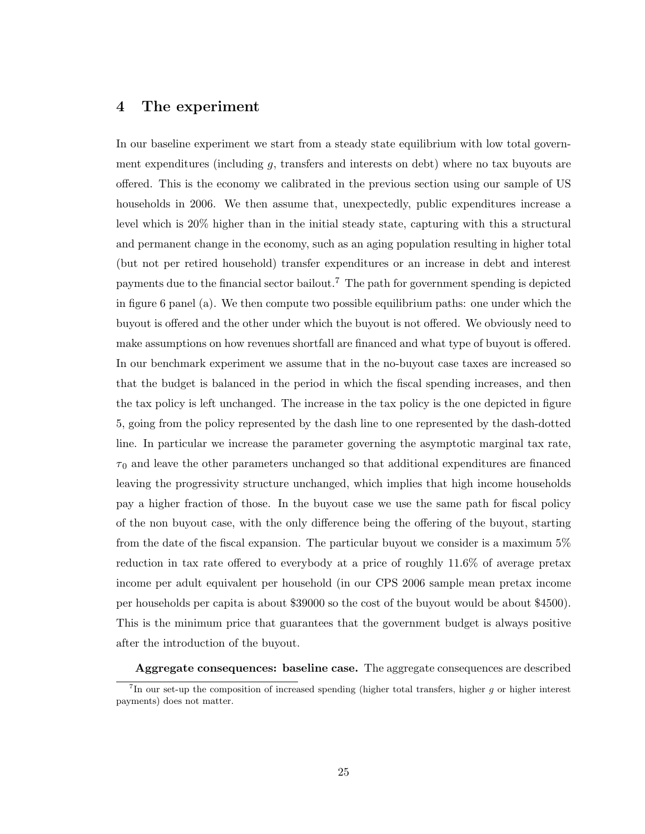## 4 The experiment

In our baseline experiment we start from a steady state equilibrium with low total government expenditures (including  $g$ , transfers and interests on debt) where no tax buyouts are offered. This is the economy we calibrated in the previous section using our sample of US households in 2006. We then assume that, unexpectedly, public expenditures increase a level which is 20% higher than in the initial steady state, capturing with this a structural and permanent change in the economy, such as an aging population resulting in higher total (but not per retired household) transfer expenditures or an increase in debt and interest payments due to the financial sector bailout.<sup>7</sup> The path for government spending is depicted in figure 6 panel (a). We then compute two possible equilibrium paths: one under which the buyout is offered and the other under which the buyout is not offered. We obviously need to make assumptions on how revenues shortfall are financed and what type of buyout is offered. In our benchmark experiment we assume that in the no-buyout case taxes are increased so that the budget is balanced in the period in which the fiscal spending increases, and then the tax policy is left unchanged. The increase in the tax policy is the one depicted in figure 5, going from the policy represented by the dash line to one represented by the dash-dotted line. In particular we increase the parameter governing the asymptotic marginal tax rate,  $\tau_0$  and leave the other parameters unchanged so that additional expenditures are financed leaving the progressivity structure unchanged, which implies that high income households pay a higher fraction of those. In the buyout case we use the same path for fiscal policy of the non buyout case, with the only difference being the offering of the buyout, starting from the date of the fiscal expansion. The particular buyout we consider is a maximum 5% reduction in tax rate offered to everybody at a price of roughly 11.6% of average pretax income per adult equivalent per household (in our CPS 2006 sample mean pretax income per households per capita is about \$39000 so the cost of the buyout would be about \$4500). This is the minimum price that guarantees that the government budget is always positive after the introduction of the buyout.

Aggregate consequences: baseline case. The aggregate consequences are described

<sup>&</sup>lt;sup>7</sup>In our set-up the composition of increased spending (higher total transfers, higher g or higher interest payments) does not matter.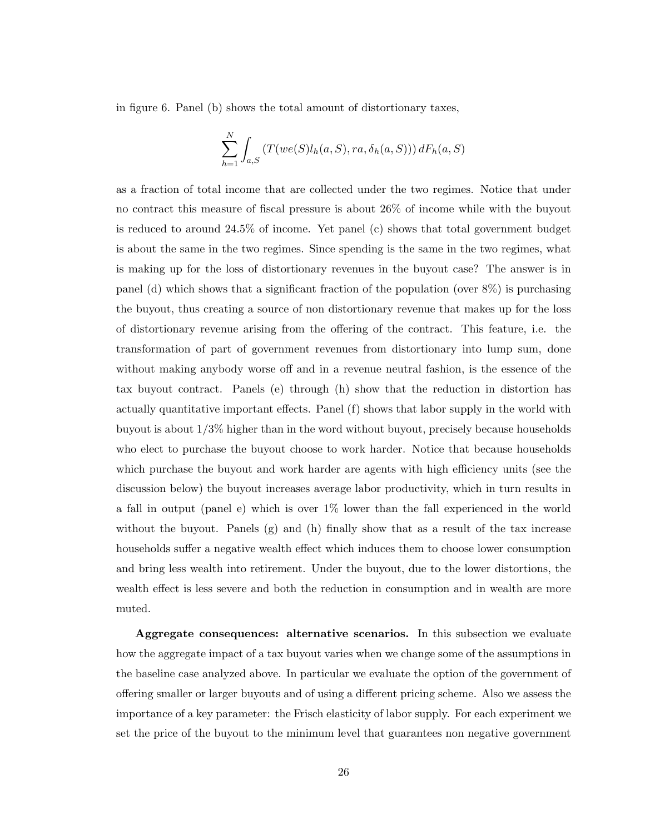in figure 6. Panel (b) shows the total amount of distortionary taxes,

$$
\sum_{h=1}^{N} \int_{a,S} \left( T(we(S)l_h(a, S), ra, \delta_h(a, S)) \right) dF_h(a, S)
$$

as a fraction of total income that are collected under the two regimes. Notice that under no contract this measure of fiscal pressure is about 26% of income while with the buyout is reduced to around 24.5% of income. Yet panel (c) shows that total government budget is about the same in the two regimes. Since spending is the same in the two regimes, what is making up for the loss of distortionary revenues in the buyout case? The answer is in panel (d) which shows that a significant fraction of the population (over 8%) is purchasing the buyout, thus creating a source of non distortionary revenue that makes up for the loss of distortionary revenue arising from the offering of the contract. This feature, i.e. the transformation of part of government revenues from distortionary into lump sum, done without making anybody worse off and in a revenue neutral fashion, is the essence of the tax buyout contract. Panels (e) through (h) show that the reduction in distortion has actually quantitative important effects. Panel (f) shows that labor supply in the world with buyout is about 1/3% higher than in the word without buyout, precisely because households who elect to purchase the buyout choose to work harder. Notice that because households which purchase the buyout and work harder are agents with high efficiency units (see the discussion below) the buyout increases average labor productivity, which in turn results in a fall in output (panel e) which is over 1% lower than the fall experienced in the world without the buyout. Panels  $(g)$  and  $(h)$  finally show that as a result of the tax increase households suffer a negative wealth effect which induces them to choose lower consumption and bring less wealth into retirement. Under the buyout, due to the lower distortions, the wealth effect is less severe and both the reduction in consumption and in wealth are more muted.

Aggregate consequences: alternative scenarios. In this subsection we evaluate how the aggregate impact of a tax buyout varies when we change some of the assumptions in the baseline case analyzed above. In particular we evaluate the option of the government of offering smaller or larger buyouts and of using a different pricing scheme. Also we assess the importance of a key parameter: the Frisch elasticity of labor supply. For each experiment we set the price of the buyout to the minimum level that guarantees non negative government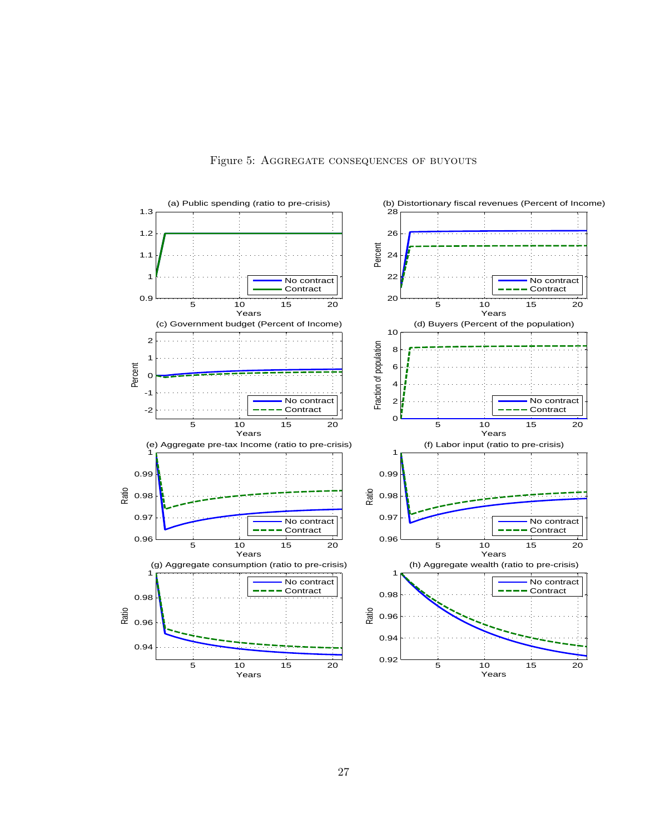

### Figure 5: AGGREGATE CONSEQUENCES OF BUYOUTS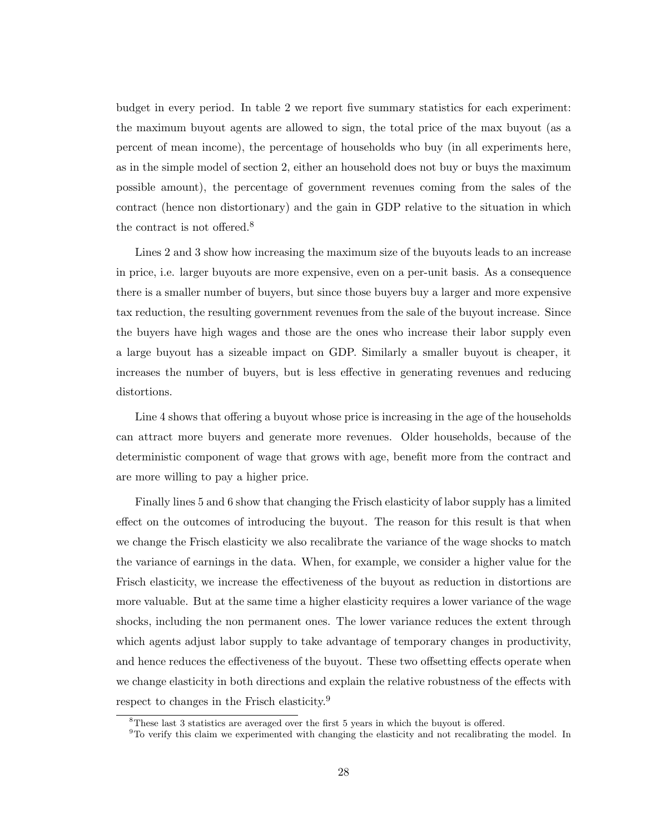budget in every period. In table 2 we report five summary statistics for each experiment: the maximum buyout agents are allowed to sign, the total price of the max buyout (as a percent of mean income), the percentage of households who buy (in all experiments here, as in the simple model of section 2, either an household does not buy or buys the maximum possible amount), the percentage of government revenues coming from the sales of the contract (hence non distortionary) and the gain in GDP relative to the situation in which the contract is not offered.<sup>8</sup>

Lines 2 and 3 show how increasing the maximum size of the buyouts leads to an increase in price, i.e. larger buyouts are more expensive, even on a per-unit basis. As a consequence there is a smaller number of buyers, but since those buyers buy a larger and more expensive tax reduction, the resulting government revenues from the sale of the buyout increase. Since the buyers have high wages and those are the ones who increase their labor supply even a large buyout has a sizeable impact on GDP. Similarly a smaller buyout is cheaper, it increases the number of buyers, but is less effective in generating revenues and reducing distortions.

Line 4 shows that offering a buyout whose price is increasing in the age of the households can attract more buyers and generate more revenues. Older households, because of the deterministic component of wage that grows with age, benefit more from the contract and are more willing to pay a higher price.

Finally lines 5 and 6 show that changing the Frisch elasticity of labor supply has a limited effect on the outcomes of introducing the buyout. The reason for this result is that when we change the Frisch elasticity we also recalibrate the variance of the wage shocks to match the variance of earnings in the data. When, for example, we consider a higher value for the Frisch elasticity, we increase the effectiveness of the buyout as reduction in distortions are more valuable. But at the same time a higher elasticity requires a lower variance of the wage shocks, including the non permanent ones. The lower variance reduces the extent through which agents adjust labor supply to take advantage of temporary changes in productivity, and hence reduces the effectiveness of the buyout. These two offsetting effects operate when we change elasticity in both directions and explain the relative robustness of the effects with respect to changes in the Frisch elasticity.<sup>9</sup>

<sup>8</sup>These last 3 statistics are averaged over the first 5 years in which the buyout is offered.

<sup>9</sup>To verify this claim we experimented with changing the elasticity and not recalibrating the model. In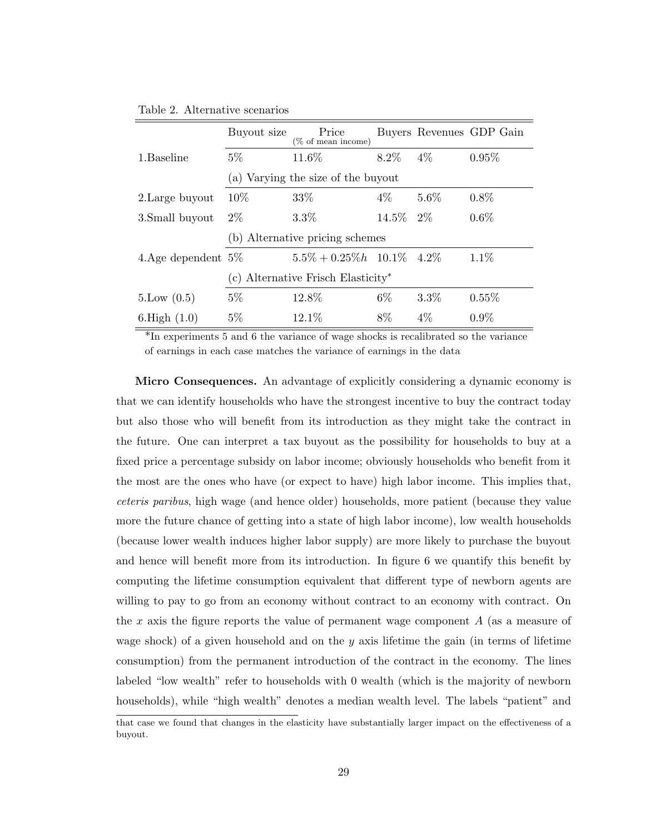| Table 2. Alternative scenarios |  |
|--------------------------------|--|
|--------------------------------|--|

|                        | Buyout size                        | Price<br>(% of mean income)        |              |         | Buyers Revenues GDP Gain |  |  |  |
|------------------------|------------------------------------|------------------------------------|--------------|---------|--------------------------|--|--|--|
| 1. Baseline            | $5\%$                              | 11.6%                              | $8.2\%$      | $4\%$   | 0.95%                    |  |  |  |
|                        | (a) Varying the size of the buyout |                                    |              |         |                          |  |  |  |
| 2. Large buyout        | $10\%$                             | 33\%                               | $4\%$        | $5.6\%$ | $0.8\%$                  |  |  |  |
| 3. Small buyout        | $2\%$                              | $3.3\%$                            | $14.5\%$ 2\% |         | $0.6\%$                  |  |  |  |
|                        | (b) Alternative pricing schemes    |                                    |              |         |                          |  |  |  |
| 4. Age dependent $5\%$ |                                    | $5.5\% + 0.25\%h$ $10.1\%$ $4.2\%$ |              |         | $1.1\%$                  |  |  |  |
|                        | (c) Alternative Frisch Elasticity* |                                    |              |         |                          |  |  |  |
| $5.$ Low $(0.5)$       | $5\%$                              | 12.8%                              | $6\%$        | $3.3\%$ | 0.55%                    |  |  |  |
| 6. High $(1.0)$        | $5\%$                              | $12.1\%$                           | 8\%          | $4\%$   | $0.9\%$                  |  |  |  |

\*In experiments 5 and 6 the variance of wage shocks is recalibrated so the variance of earnings in each case matches the variance of earnings in the data

Micro Consequences. An advantage of explicitly considering a dynamic economy is that we can identify households who have the strongest incentive to buy the contract today but also those who will benefit from its introduction as they might take the contract in the future. One can interpret a tax buyout as the possibility for households to buy at a fixed price a percentage subsidy on labor income; obviously households who benefit from it the most are the ones who have (or expect to have) high labor income. This implies that, ceteris paribus, high wage (and hence older) households, more patient (because they value more the future chance of getting into a state of high labor income), low wealth households (because lower wealth induces higher labor supply) are more likely to purchase the buyout and hence will benefit more from its introduction. In figure 6 we quantify this benefit by computing the lifetime consumption equivalent that different type of newborn agents are willing to pay to go from an economy without contract to an economy with contract. On the x axis the figure reports the value of permanent wage component  $A$  (as a measure of wage shock) of a given household and on the  $y$  axis lifetime the gain (in terms of lifetime consumption) from the permanent introduction of the contract in the economy. The lines labeled "low wealth" refer to households with 0 wealth (which is the majority of newborn households), while "high wealth" denotes a median wealth level. The labels "patient" and

that case we found that changes in the elasticity have substantially larger impact on the effectiveness of a buyout.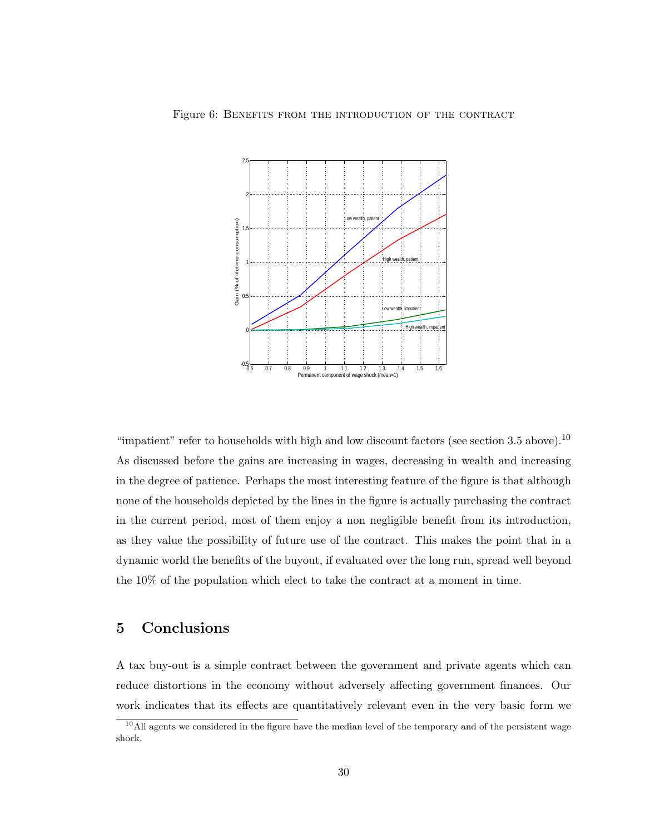



"impatient" refer to households with high and low discount factors (see section 3.5 above).<sup>10</sup> As discussed before the gains are increasing in wages, decreasing in wealth and increasing in the degree of patience. Perhaps the most interesting feature of the figure is that although none of the households depicted by the lines in the figure is actually purchasing the contract in the current period, most of them enjoy a non negligible benefit from its introduction, as they value the possibility of future use of the contract. This makes the point that in a dynamic world the benefits of the buyout, if evaluated over the long run, spread well beyond the 10% of the population which elect to take the contract at a moment in time.

# 5 Conclusions

A tax buy-out is a simple contract between the government and private agents which can reduce distortions in the economy without adversely affecting government finances. Our work indicates that its effects are quantitatively relevant even in the very basic form we

 $10$ All agents we considered in the figure have the median level of the temporary and of the persistent wage shock.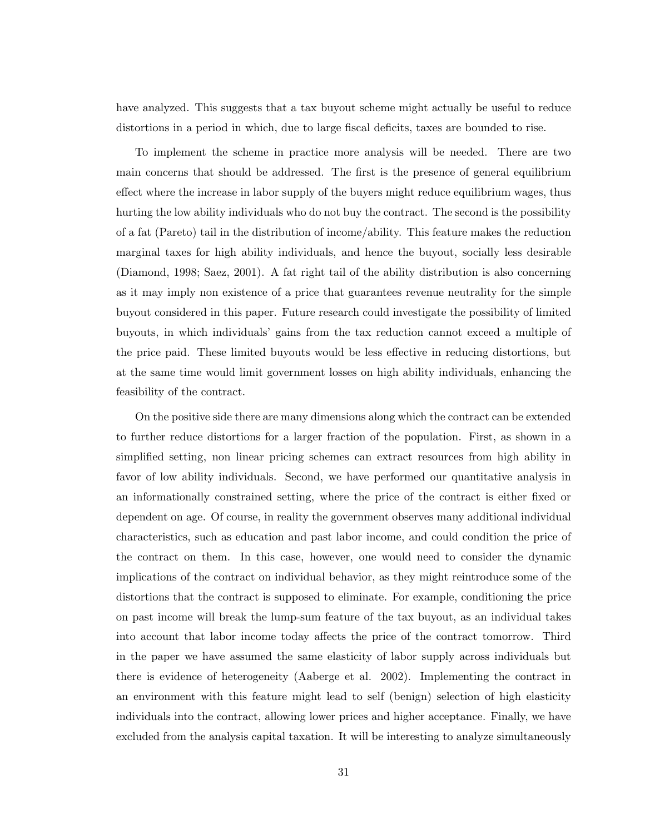have analyzed. This suggests that a tax buyout scheme might actually be useful to reduce distortions in a period in which, due to large fiscal deficits, taxes are bounded to rise.

To implement the scheme in practice more analysis will be needed. There are two main concerns that should be addressed. The first is the presence of general equilibrium effect where the increase in labor supply of the buyers might reduce equilibrium wages, thus hurting the low ability individuals who do not buy the contract. The second is the possibility of a fat (Pareto) tail in the distribution of income/ability. This feature makes the reduction marginal taxes for high ability individuals, and hence the buyout, socially less desirable (Diamond, 1998; Saez, 2001). A fat right tail of the ability distribution is also concerning as it may imply non existence of a price that guarantees revenue neutrality for the simple buyout considered in this paper. Future research could investigate the possibility of limited buyouts, in which individuals' gains from the tax reduction cannot exceed a multiple of the price paid. These limited buyouts would be less effective in reducing distortions, but at the same time would limit government losses on high ability individuals, enhancing the feasibility of the contract.

On the positive side there are many dimensions along which the contract can be extended to further reduce distortions for a larger fraction of the population. First, as shown in a simplified setting, non linear pricing schemes can extract resources from high ability in favor of low ability individuals. Second, we have performed our quantitative analysis in an informationally constrained setting, where the price of the contract is either fixed or dependent on age. Of course, in reality the government observes many additional individual characteristics, such as education and past labor income, and could condition the price of the contract on them. In this case, however, one would need to consider the dynamic implications of the contract on individual behavior, as they might reintroduce some of the distortions that the contract is supposed to eliminate. For example, conditioning the price on past income will break the lump-sum feature of the tax buyout, as an individual takes into account that labor income today affects the price of the contract tomorrow. Third in the paper we have assumed the same elasticity of labor supply across individuals but there is evidence of heterogeneity (Aaberge et al. 2002). Implementing the contract in an environment with this feature might lead to self (benign) selection of high elasticity individuals into the contract, allowing lower prices and higher acceptance. Finally, we have excluded from the analysis capital taxation. It will be interesting to analyze simultaneously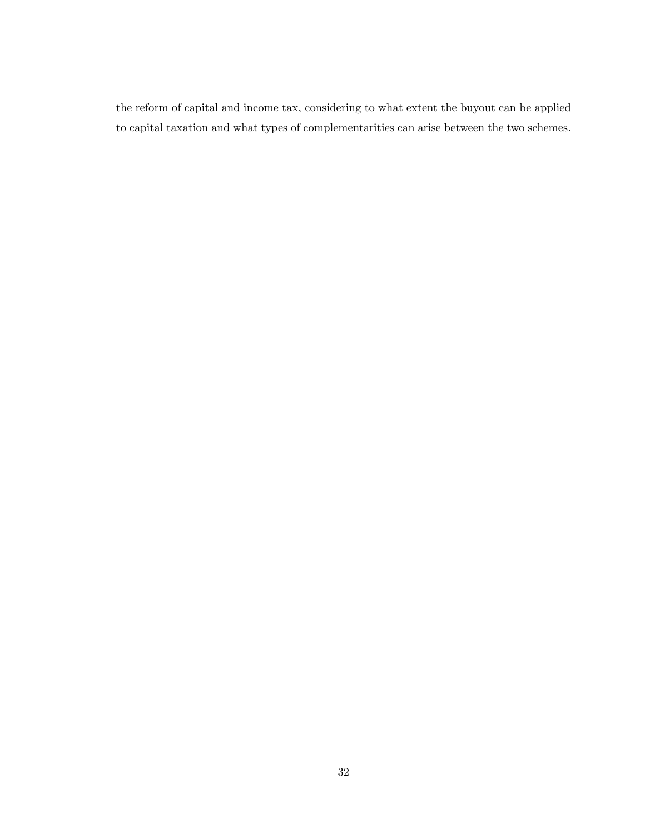the reform of capital and income tax, considering to what extent the buyout can be applied to capital taxation and what types of complementarities can arise between the two schemes.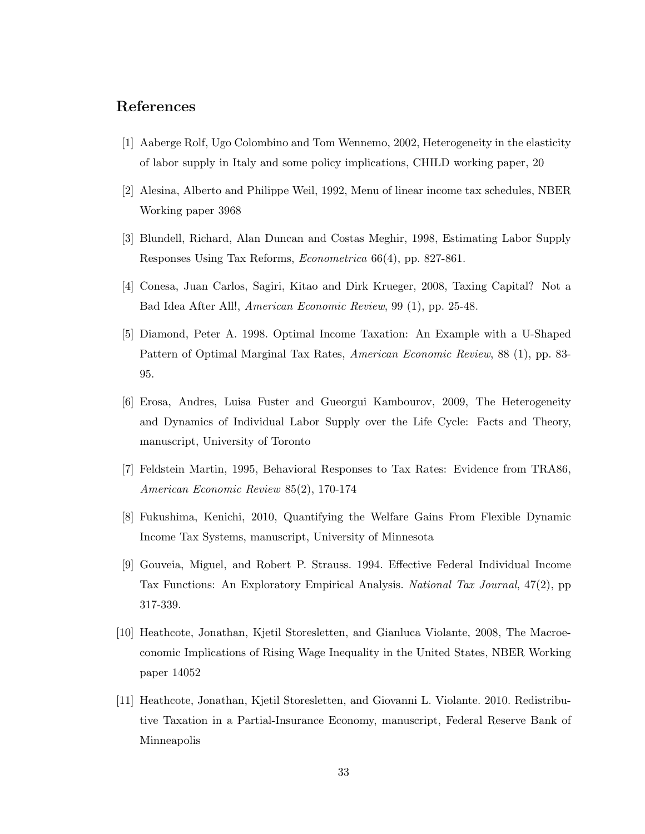## References

- [1] Aaberge Rolf, Ugo Colombino and Tom Wennemo, 2002, Heterogeneity in the elasticity of labor supply in Italy and some policy implications, CHILD working paper, 20
- [2] Alesina, Alberto and Philippe Weil, 1992, Menu of linear income tax schedules, NBER Working paper 3968
- [3] Blundell, Richard, Alan Duncan and Costas Meghir, 1998, Estimating Labor Supply Responses Using Tax Reforms, Econometrica 66(4), pp. 827-861.
- [4] Conesa, Juan Carlos, Sagiri, Kitao and Dirk Krueger, 2008, Taxing Capital? Not a Bad Idea After All!, American Economic Review, 99 (1), pp. 25-48.
- [5] Diamond, Peter A. 1998. Optimal Income Taxation: An Example with a U-Shaped Pattern of Optimal Marginal Tax Rates, American Economic Review, 88 (1), pp. 83- 95.
- [6] Erosa, Andres, Luisa Fuster and Gueorgui Kambourov, 2009, The Heterogeneity and Dynamics of Individual Labor Supply over the Life Cycle: Facts and Theory, manuscript, University of Toronto
- [7] Feldstein Martin, 1995, Behavioral Responses to Tax Rates: Evidence from TRA86, American Economic Review 85(2), 170-174
- [8] Fukushima, Kenichi, 2010, Quantifying the Welfare Gains From Flexible Dynamic Income Tax Systems, manuscript, University of Minnesota
- [9] Gouveia, Miguel, and Robert P. Strauss. 1994. Effective Federal Individual Income Tax Functions: An Exploratory Empirical Analysis. National Tax Journal, 47(2), pp 317-339.
- [10] Heathcote, Jonathan, Kjetil Storesletten, and Gianluca Violante, 2008, The Macroeconomic Implications of Rising Wage Inequality in the United States, NBER Working paper 14052
- [11] Heathcote, Jonathan, Kjetil Storesletten, and Giovanni L. Violante. 2010. Redistributive Taxation in a Partial-Insurance Economy, manuscript, Federal Reserve Bank of Minneapolis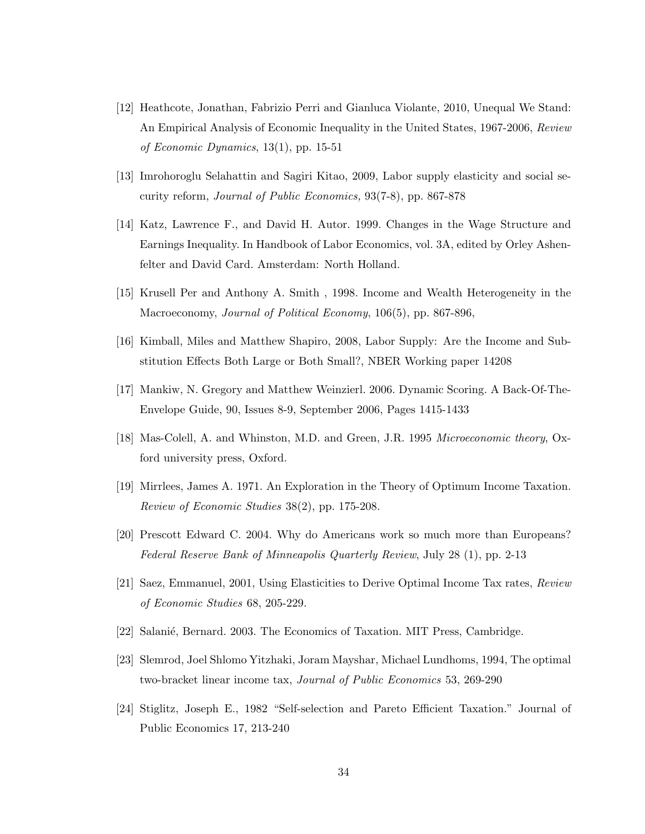- [12] Heathcote, Jonathan, Fabrizio Perri and Gianluca Violante, 2010, Unequal We Stand: An Empirical Analysis of Economic Inequality in the United States, 1967-2006, Review of Economic Dynamics,  $13(1)$ , pp. 15-51
- [13] Imrohoroglu Selahattin and Sagiri Kitao, 2009, Labor supply elasticity and social security reform, Journal of Public Economics, 93(7-8), pp. 867-878
- [14] Katz, Lawrence F., and David H. Autor. 1999. Changes in the Wage Structure and Earnings Inequality. In Handbook of Labor Economics, vol. 3A, edited by Orley Ashenfelter and David Card. Amsterdam: North Holland.
- [15] Krusell Per and Anthony A. Smith , 1998. Income and Wealth Heterogeneity in the Macroeconomy, Journal of Political Economy, 106(5), pp. 867-896,
- [16] Kimball, Miles and Matthew Shapiro, 2008, Labor Supply: Are the Income and Substitution Effects Both Large or Both Small?, NBER Working paper 14208
- [17] Mankiw, N. Gregory and Matthew Weinzierl. 2006. Dynamic Scoring. A Back-Of-The-Envelope Guide, 90, Issues 8-9, September 2006, Pages 1415-1433
- [18] Mas-Colell, A. and Whinston, M.D. and Green, J.R. 1995 Microeconomic theory, Oxford university press, Oxford.
- [19] Mirrlees, James A. 1971. An Exploration in the Theory of Optimum Income Taxation. Review of Economic Studies 38(2), pp. 175-208.
- [20] Prescott Edward C. 2004. Why do Americans work so much more than Europeans? Federal Reserve Bank of Minneapolis Quarterly Review, July 28 (1), pp. 2-13
- [21] Saez, Emmanuel, 2001, Using Elasticities to Derive Optimal Income Tax rates, Review of Economic Studies 68, 205-229.
- [22] Salanié, Bernard. 2003. The Economics of Taxation. MIT Press, Cambridge.
- [23] Slemrod, Joel Shlomo Yitzhaki, Joram Mayshar, Michael Lundhoms, 1994, The optimal two-bracket linear income tax, Journal of Public Economics 53, 269-290
- [24] Stiglitz, Joseph E., 1982 "Self-selection and Pareto Efficient Taxation." Journal of Public Economics 17, 213-240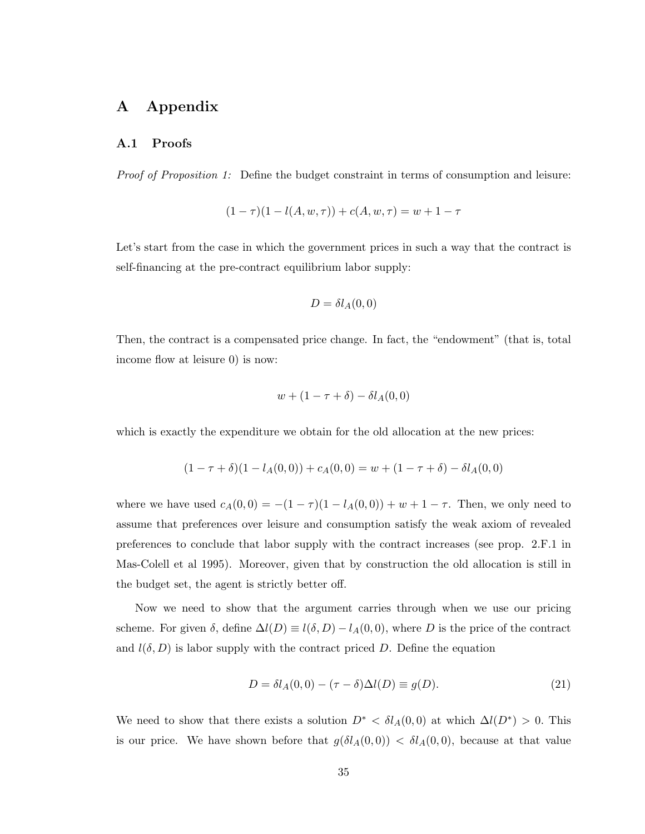# A Appendix

#### A.1 Proofs

Proof of Proposition 1: Define the budget constraint in terms of consumption and leisure:

$$
(1 - \tau)(1 - l(A, w, \tau)) + c(A, w, \tau) = w + 1 - \tau
$$

Let's start from the case in which the government prices in such a way that the contract is self-financing at the pre-contract equilibrium labor supply:

$$
D = \delta l_A(0,0)
$$

Then, the contract is a compensated price change. In fact, the "endowment" (that is, total income flow at leisure 0) is now:

$$
w + (1 - \tau + \delta) - \delta l_A(0, 0)
$$

which is exactly the expenditure we obtain for the old allocation at the new prices:

$$
(1 - \tau + \delta)(1 - l_A(0,0)) + c_A(0,0) = w + (1 - \tau + \delta) - \delta l_A(0,0)
$$

where we have used  $c_A(0,0) = -(1 - \tau)(1 - l_A(0,0)) + w + 1 - \tau$ . Then, we only need to assume that preferences over leisure and consumption satisfy the weak axiom of revealed preferences to conclude that labor supply with the contract increases (see prop. 2.F.1 in Mas-Colell et al 1995). Moreover, given that by construction the old allocation is still in the budget set, the agent is strictly better off.

Now we need to show that the argument carries through when we use our pricing scheme. For given  $\delta$ , define  $\Delta l(D) \equiv l(\delta, D) - l_A(0, 0)$ , where D is the price of the contract and  $l(\delta, D)$  is labor supply with the contract priced D. Define the equation

$$
D = \delta l_A(0,0) - (\tau - \delta) \Delta l(D) \equiv g(D). \tag{21}
$$

We need to show that there exists a solution  $D^* < \delta l_A(0,0)$  at which  $\Delta l(D^*) > 0$ . This is our price. We have shown before that  $g(\delta l_A(0,0)) < \delta l_A(0,0)$ , because at that value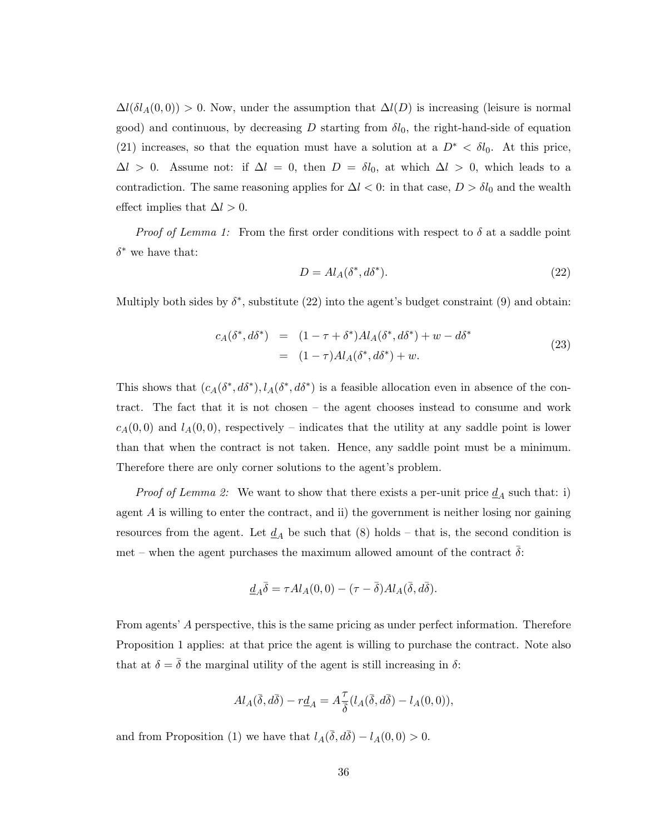$\Delta l(\delta l_A(0,0)) > 0$ . Now, under the assumption that  $\Delta l(D)$  is increasing (leisure is normal good) and continuous, by decreasing D starting from  $\delta l_0$ , the right-hand-side of equation (21) increases, so that the equation must have a solution at a  $D^* < \delta l_0$ . At this price,  $\Delta l > 0$ . Assume not: if  $\Delta l = 0$ , then  $D = \delta l_0$ , at which  $\Delta l > 0$ , which leads to a contradiction. The same reasoning applies for  $\Delta l < 0$ : in that case,  $D > \delta l_0$  and the wealth effect implies that  $\Delta l > 0$ .

*Proof of Lemma 1:* From the first order conditions with respect to  $\delta$  at a saddle point  $\delta^*$  we have that:

$$
D = Al_A(\delta^*, d\delta^*). \tag{22}
$$

Multiply both sides by  $\delta^*$ , substitute (22) into the agent's budget constraint (9) and obtain:

$$
c_A(\delta^*, d\delta^*) = (1 - \tau + \delta^*) A l_A(\delta^*, d\delta^*) + w - d\delta^*
$$
  
= 
$$
(1 - \tau) A l_A(\delta^*, d\delta^*) + w.
$$
 (23)

This shows that  $(c_A(\delta^*, d\delta^*), l_A(\delta^*, d\delta^*))$  is a feasible allocation even in absence of the contract. The fact that it is not chosen – the agent chooses instead to consume and work  $c_A(0,0)$  and  $l_A(0,0)$ , respectively – indicates that the utility at any saddle point is lower than that when the contract is not taken. Hence, any saddle point must be a minimum. Therefore there are only corner solutions to the agent's problem.

*Proof of Lemma 2:* We want to show that there exists a per-unit price  $\underline{d}_A$  such that: i) agent  $A$  is willing to enter the contract, and ii) the government is neither losing nor gaining resources from the agent. Let  $\underline{d}_A$  be such that (8) holds – that is, the second condition is met – when the agent purchases the maximum allowed amount of the contract  $\delta$ :

$$
\underline{d}_A\overline{\delta}=\tau Al_A(0,0)-(\tau-\overline{\delta})Al_A(\overline{\delta},d\overline{\delta}).
$$

From agents' A perspective, this is the same pricing as under perfect information. Therefore Proposition 1 applies: at that price the agent is willing to purchase the contract. Note also that at  $\delta = \overline{\delta}$  the marginal utility of the agent is still increasing in  $\delta$ :

$$
Al_A(\bar{\delta},d\bar{\delta})-r\underline{d}_A=A\frac{\tau}{\bar{\delta}}(l_A(\bar{\delta},d\bar{\delta})-l_A(0,0)),
$$

and from Proposition (1) we have that  $l_A(\bar{\delta}, d\bar{\delta}) - l_A(0,0) > 0$ .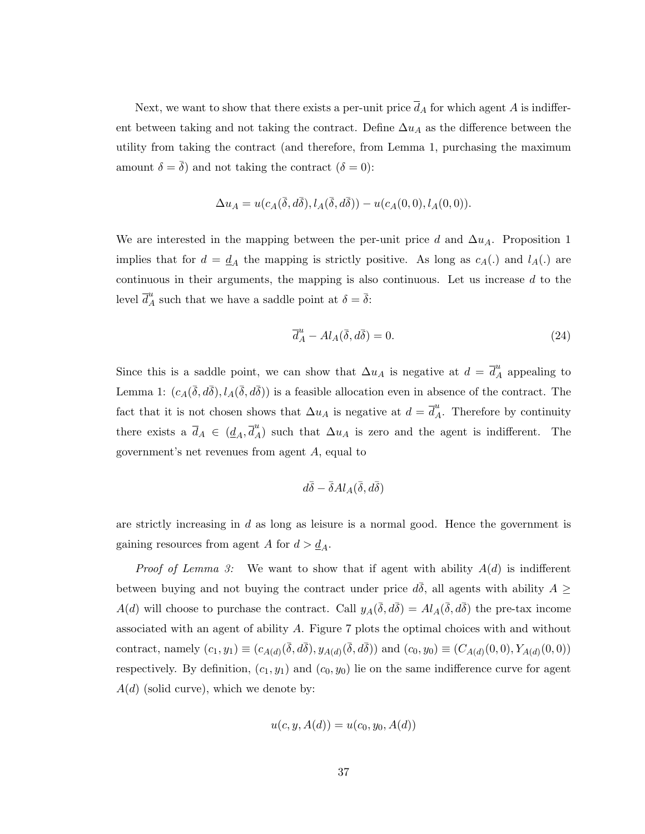Next, we want to show that there exists a per-unit price  $\overline{d}_A$  for which agent A is indifferent between taking and not taking the contract. Define  $\Delta u_A$  as the difference between the utility from taking the contract (and therefore, from Lemma 1, purchasing the maximum amount  $\delta = \overline{\delta}$ ) and not taking the contract  $(\delta = 0)$ :

$$
\Delta u_A = u(c_A(\overline{\delta}, d\overline{\delta}), l_A(\overline{\delta}, d\overline{\delta})) - u(c_A(0,0), l_A(0,0)).
$$

We are interested in the mapping between the per-unit price d and  $\Delta u_A$ . Proposition 1 implies that for  $d = \underline{d}_A$  the mapping is strictly positive. As long as  $c_A(.)$  and  $l_A(.)$  are continuous in their arguments, the mapping is also continuous. Let us increase  $d$  to the level  $\overline{d}_A^u$  such that we have a saddle point at  $\delta = \overline{\delta}$ :

$$
\overline{d}_A^u - Al_A(\overline{\delta}, d\overline{\delta}) = 0. \tag{24}
$$

Since this is a saddle point, we can show that  $\Delta u_A$  is negative at  $d = \overline{d}_A^u$  appealing to Lemma 1:  $(c_A(\bar{\delta}, d\bar{\delta}), l_A(\bar{\delta}, d\bar{\delta}))$  is a feasible allocation even in absence of the contract. The fact that it is not chosen shows that  $\Delta u_A$  is negative at  $d = \overline{d}_A^u$ . Therefore by continuity there exists a  $\bar{d}_A \in (\underline{d}_A, \bar{d}_A^u)$  such that  $\Delta u_A$  is zero and the agent is indifferent. The government's net revenues from agent A, equal to

$$
d\bar{\delta}-\bar{\delta} Al_A(\bar{\delta},d\bar{\delta})
$$

are strictly increasing in  $d$  as long as leisure is a normal good. Hence the government is gaining resources from agent A for  $d > \underline{d}_A$ .

*Proof of Lemma 3:* We want to show that if agent with ability  $A(d)$  is indifferent between buying and not buying the contract under price  $d\bar{\delta}$ , all agents with ability  $A \geq$  $A(d)$  will choose to purchase the contract. Call  $y_A(\bar{\delta}, d\bar{\delta}) = A l_A(\bar{\delta}, d\bar{\delta})$  the pre-tax income associated with an agent of ability A. Figure 7 plots the optimal choices with and without contract, namely  $(c_1, y_1) \equiv (c_{A(d)}(\bar{\delta}, d\bar{\delta}), y_{A(d)}(\bar{\delta}, d\bar{\delta}))$  and  $(c_0, y_0) \equiv (C_{A(d)}(0, 0), Y_{A(d)}(0, 0))$ respectively. By definition,  $(c_1, y_1)$  and  $(c_0, y_0)$  lie on the same indifference curve for agent  $A(d)$  (solid curve), which we denote by:

$$
u(c, y, A(d)) = u(c_0, y_0, A(d))
$$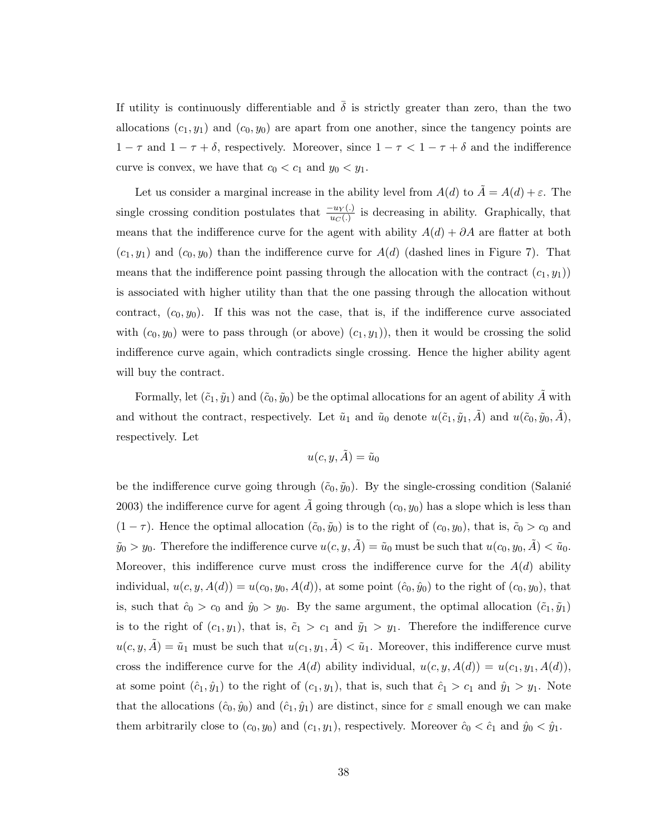If utility is continuously differentiable and  $\bar{\delta}$  is strictly greater than zero, than the two allocations  $(c_1, y_1)$  and  $(c_0, y_0)$  are apart from one another, since the tangency points are  $1 - \tau$  and  $1 - \tau + \delta$ , respectively. Moreover, since  $1 - \tau < 1 - \tau + \delta$  and the indifference curve is convex, we have that  $c_0 < c_1$  and  $y_0 < y_1$ .

Let us consider a marginal increase in the ability level from  $A(d)$  to  $A = A(d) + \varepsilon$ . The single crossing condition postulates that  $\frac{-u_Y(.)}{u_C(.)}$  is decreasing in ability. Graphically, that means that the indifference curve for the agent with ability  $A(d) + \partial A$  are flatter at both  $(c_1, y_1)$  and  $(c_0, y_0)$  than the indifference curve for  $A(d)$  (dashed lines in Figure 7). That means that the indifference point passing through the allocation with the contract  $(c_1, y_1)$ is associated with higher utility than that the one passing through the allocation without contract,  $(c_0, y_0)$ . If this was not the case, that is, if the indifference curve associated with  $(c_0, y_0)$  were to pass through (or above)  $(c_1, y_1)$ ), then it would be crossing the solid indifference curve again, which contradicts single crossing. Hence the higher ability agent will buy the contract.

Formally, let  $(\tilde{c}_1, \tilde{y}_1)$  and  $(\tilde{c}_0, \tilde{y}_0)$  be the optimal allocations for an agent of ability  $\tilde{A}$  with and without the contract, respectively. Let  $\tilde{u}_1$  and  $\tilde{u}_0$  denote  $u(\tilde{c}_1, \tilde{y}_1, A)$  and  $u(\tilde{c}_0, \tilde{y}_0, A)$ , respectively. Let

$$
u(c,y,\tilde{A})=\tilde{u}_0
$$

be the indifference curve going through  $(\tilde{c}_0, \tilde{y}_0)$ . By the single-crossing condition (Salanié 2003) the indifference curve for agent  $\overline{A}$  going through  $(c_0, y_0)$  has a slope which is less than  $(1 - \tau)$ . Hence the optimal allocation  $(\tilde{c}_0, \tilde{y}_0)$  is to the right of  $(c_0, y_0)$ , that is,  $\tilde{c}_0 > c_0$  and  $\tilde{y}_0 > y_0$ . Therefore the indifference curve  $u(c, y, \tilde{A}) = \tilde{u}_0$  must be such that  $u(c_0, y_0, \tilde{A}) < \tilde{u}_0$ . Moreover, this indifference curve must cross the indifference curve for the  $A(d)$  ability individual,  $u(c, y, A(d)) = u(c_0, y_0, A(d))$ , at some point  $(\hat{c}_0, \hat{y}_0)$  to the right of  $(c_0, y_0)$ , that is, such that  $\hat{c}_0 > c_0$  and  $\hat{y}_0 > y_0$ . By the same argument, the optimal allocation  $(\tilde{c}_1, \tilde{y}_1)$ is to the right of  $(c_1, y_1)$ , that is,  $\tilde{c}_1 > c_1$  and  $\tilde{y}_1 > y_1$ . Therefore the indifference curve  $u(c, y, \tilde{A}) = \tilde{u}_1$  must be such that  $u(c_1, y_1, \tilde{A}) < \tilde{u}_1$ . Moreover, this indifference curve must cross the indifference curve for the  $A(d)$  ability individual,  $u(c, y, A(d)) = u(c_1, y_1, A(d)),$ at some point  $(\hat{c}_1, \hat{y}_1)$  to the right of  $(c_1, y_1)$ , that is, such that  $\hat{c}_1 > c_1$  and  $\hat{y}_1 > y_1$ . Note that the allocations  $(\hat{c}_0, \hat{y}_0)$  and  $(\hat{c}_1, \hat{y}_1)$  are distinct, since for  $\varepsilon$  small enough we can make them arbitrarily close to  $(c_0, y_0)$  and  $(c_1, y_1)$ , respectively. Moreover  $\hat{c}_0 < \hat{c}_1$  and  $\hat{y}_0 < \hat{y}_1$ .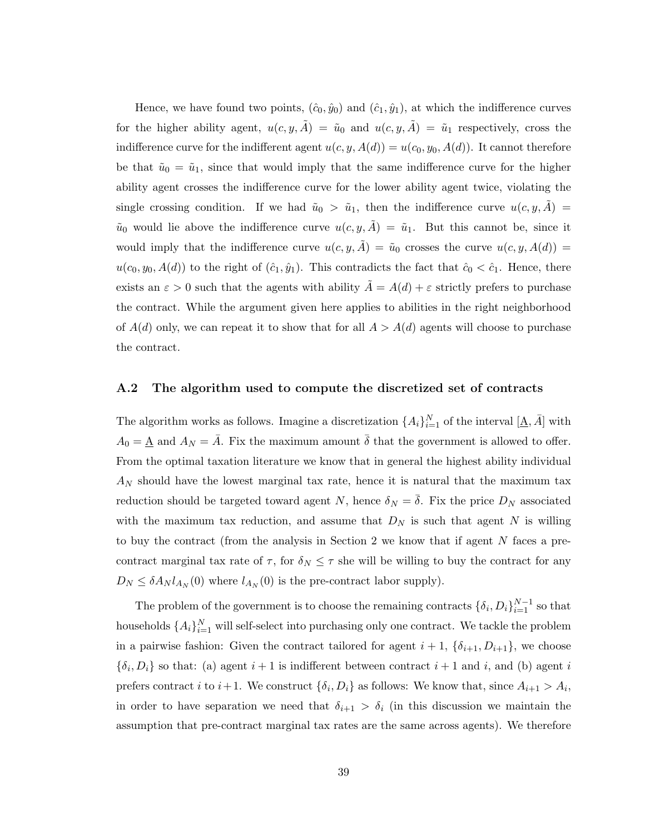Hence, we have found two points,  $(\hat{c}_0, \hat{y}_0)$  and  $(\hat{c}_1, \hat{y}_1)$ , at which the indifference curves for the higher ability agent,  $u(c, y, \tilde{A}) = \tilde{u}_0$  and  $u(c, y, \tilde{A}) = \tilde{u}_1$  respectively, cross the indifference curve for the indifferent agent  $u(c, y, A(d)) = u(c_0, y_0, A(d))$ . It cannot therefore be that  $\tilde{u}_0 = \tilde{u}_1$ , since that would imply that the same indifference curve for the higher ability agent crosses the indifference curve for the lower ability agent twice, violating the single crossing condition. If we had  $\tilde{u}_0 > \tilde{u}_1$ , then the indifference curve  $u(c, y, A) =$  $\tilde{u}_0$  would lie above the indifference curve  $u(c, y, \tilde{A}) = \tilde{u}_1$ . But this cannot be, since it would imply that the indifference curve  $u(c, y, \tilde{A}) = \tilde{u}_0$  crosses the curve  $u(c, y, A(d)) =$  $u(c_0, y_0, A(d))$  to the right of  $(\hat{c}_1, \hat{y}_1)$ . This contradicts the fact that  $\hat{c}_0 < \hat{c}_1$ . Hence, there exists an  $\varepsilon > 0$  such that the agents with ability  $\tilde{A} = A(d) + \varepsilon$  strictly prefers to purchase the contract. While the argument given here applies to abilities in the right neighborhood of  $A(d)$  only, we can repeat it to show that for all  $A > A(d)$  agents will choose to purchase the contract.

#### A.2 The algorithm used to compute the discretized set of contracts

The algorithm works as follows. Imagine a discretization  $\{A_i\}_{i=1}^N$  of the interval  $[\underline{A}, \overline{A}]$  with  $A_0 = \underline{A}$  and  $A_N = \overline{A}$ . Fix the maximum amount  $\overline{\delta}$  that the government is allowed to offer. From the optimal taxation literature we know that in general the highest ability individual  $A_N$  should have the lowest marginal tax rate, hence it is natural that the maximum tax reduction should be targeted toward agent N, hence  $\delta_N = \overline{\delta}$ . Fix the price  $D_N$  associated with the maximum tax reduction, and assume that  $D<sub>N</sub>$  is such that agent N is willing to buy the contract (from the analysis in Section 2 we know that if agent N faces a precontract marginal tax rate of  $\tau$ , for  $\delta_N \leq \tau$  she will be willing to buy the contract for any  $D_N \leq \delta A_N l_{A_N}(0)$  where  $l_{A_N}(0)$  is the pre-contract labor supply).

The problem of the government is to choose the remaining contracts  $\{\delta_i, D_i\}_{i=1}^{N-1}$  so that households  $\{A_i\}_{i=1}^N$  will self-select into purchasing only one contract. We tackle the problem in a pairwise fashion: Given the contract tailored for agent  $i + 1$ ,  $\{\delta_{i+1}, D_{i+1}\}\$ , we choose  $\{\delta_i, D_i\}$  so that: (a) agent  $i+1$  is indifferent between contract  $i+1$  and i, and (b) agent i prefers contract *i* to  $i+1$ . We construct  $\{\delta_i, D_i\}$  as follows: We know that, since  $A_{i+1} > A_i$ , in order to have separation we need that  $\delta_{i+1} > \delta_i$  (in this discussion we maintain the assumption that pre-contract marginal tax rates are the same across agents). We therefore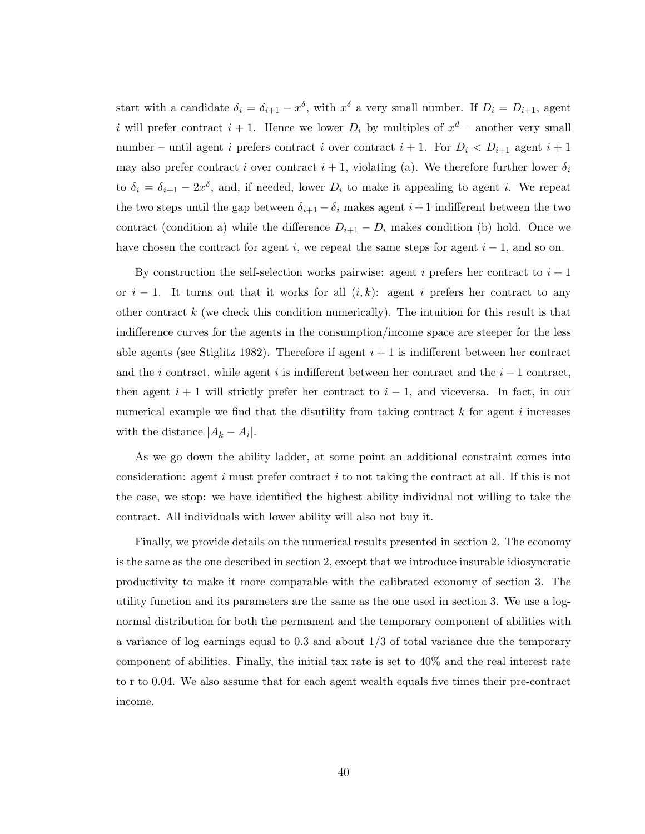start with a candidate  $\delta_i = \delta_{i+1} - x^{\delta}$ , with  $x^{\delta}$  a very small number. If  $D_i = D_{i+1}$ , agent i will prefer contract  $i + 1$ . Hence we lower  $D_i$  by multiples of  $x^d$  – another very small number – until agent i prefers contract i over contract  $i + 1$ . For  $D_i < D_{i+1}$  agent  $i + 1$ may also prefer contract i over contract  $i + 1$ , violating (a). We therefore further lower  $\delta_i$ to  $\delta_i = \delta_{i+1} - 2x^{\delta}$ , and, if needed, lower  $D_i$  to make it appealing to agent i. We repeat the two steps until the gap between  $\delta_{i+1} - \delta_i$  makes agent  $i+1$  indifferent between the two contract (condition a) while the difference  $D_{i+1} - D_i$  makes condition (b) hold. Once we have chosen the contract for agent i, we repeat the same steps for agent  $i - 1$ , and so on.

By construction the self-selection works pairwise: agent i prefers her contract to  $i + 1$ or  $i - 1$ . It turns out that it works for all  $(i, k)$ : agent i prefers her contract to any other contract  $k$  (we check this condition numerically). The intuition for this result is that indifference curves for the agents in the consumption/income space are steeper for the less able agents (see Stiglitz 1982). Therefore if agent  $i + 1$  is indifferent between her contract and the i contract, while agent i is indifferent between her contract and the  $i - 1$  contract, then agent  $i + 1$  will strictly prefer her contract to  $i - 1$ , and viceversa. In fact, in our numerical example we find that the disutility from taking contract  $k$  for agent  $i$  increases with the distance  $|A_k - A_i|$ .

As we go down the ability ladder, at some point an additional constraint comes into consideration: agent i must prefer contract i to not taking the contract at all. If this is not the case, we stop: we have identified the highest ability individual not willing to take the contract. All individuals with lower ability will also not buy it.

Finally, we provide details on the numerical results presented in section 2. The economy is the same as the one described in section 2, except that we introduce insurable idiosyncratic productivity to make it more comparable with the calibrated economy of section 3. The utility function and its parameters are the same as the one used in section 3. We use a lognormal distribution for both the permanent and the temporary component of abilities with a variance of log earnings equal to 0.3 and about 1/3 of total variance due the temporary component of abilities. Finally, the initial tax rate is set to 40% and the real interest rate to r to 0.04. We also assume that for each agent wealth equals five times their pre-contract income.